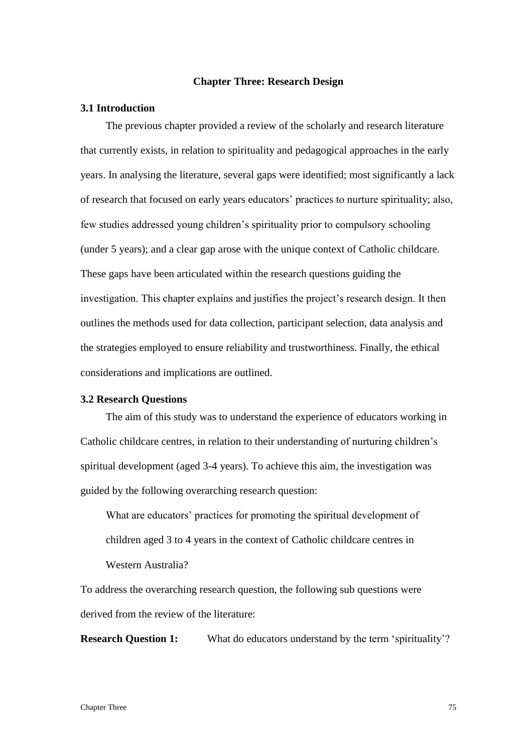## **Chapter Three: Research Design**

## **3.1 Introduction**

The previous chapter provided a review of the scholarly and research literature that currently exists, in relation to spirituality and pedagogical approaches in the early years. In analysing the literature, several gaps were identified; most significantly a lack of research that focused on early years educators' practices to nurture spirituality; also, few studies addressed young children's spirituality prior to compulsory schooling (under 5 years); and a clear gap arose with the unique context of Catholic childcare. These gaps have been articulated within the research questions guiding the investigation. This chapter explains and justifies the project's research design. It then outlines the methods used for data collection, participant selection, data analysis and the strategies employed to ensure reliability and trustworthiness. Finally, the ethical considerations and implications are outlined.

## **3.2 Research Questions**

The aim of this study was to understand the experience of educators working in Catholic childcare centres, in relation to their understanding of nurturing children's spiritual development (aged 3-4 years). To achieve this aim, the investigation was guided by the following overarching research question:

What are educators' practices for promoting the spiritual development of children aged 3 to 4 years in the context of Catholic childcare centres in Western Australia?

To address the overarching research question, the following sub questions were derived from the review of the literature:

**Research Question 1:** What do educators understand by the term 'spirituality'?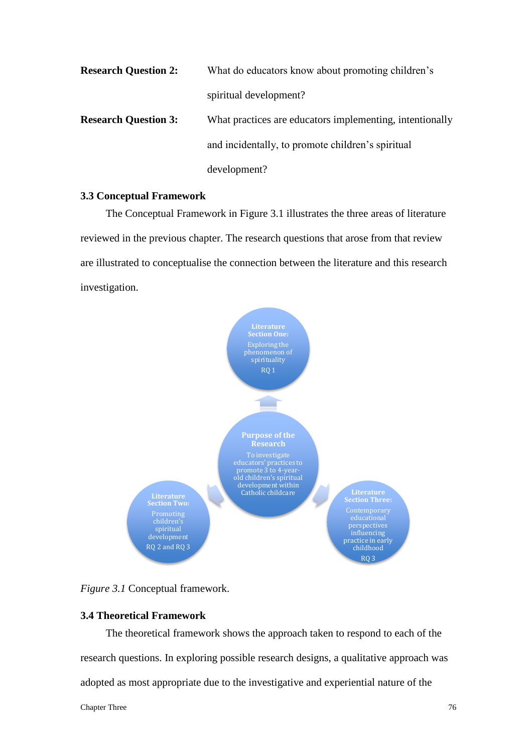| <b>Research Question 2:</b> | What do educators know about promoting children's        |
|-----------------------------|----------------------------------------------------------|
|                             | spiritual development?                                   |
| <b>Research Question 3:</b> | What practices are educators implementing, intentionally |
|                             | and incidentally, to promote children's spiritual        |
|                             | development?                                             |

#### **3.3 Conceptual Framework**

The Conceptual Framework in Figure 3.1 illustrates the three areas of literature reviewed in the previous chapter. The research questions that arose from that review are illustrated to conceptualise the connection between the literature and this research investigation.



*Figure 3.1* Conceptual framework.

## **3.4 Theoretical Framework**

The theoretical framework shows the approach taken to respond to each of the research questions. In exploring possible research designs, a qualitative approach was adopted as most appropriate due to the investigative and experiential nature of the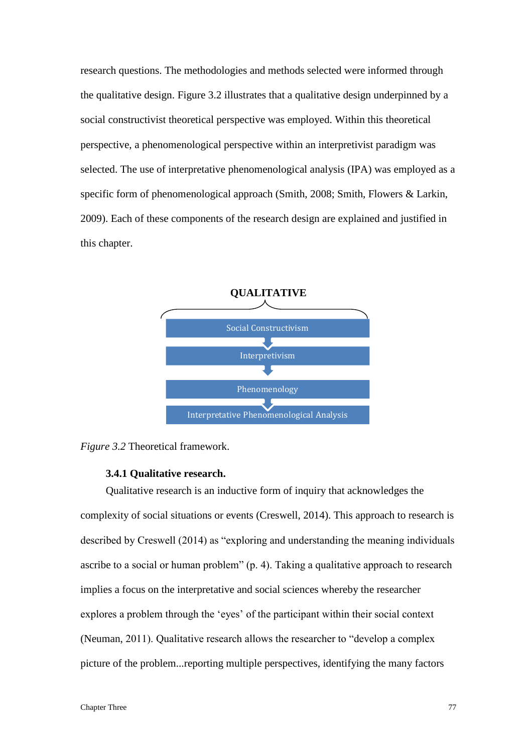research questions. The methodologies and methods selected were informed through the qualitative design. Figure 3.2 illustrates that a qualitative design underpinned by a social constructivist theoretical perspective was employed. Within this theoretical perspective, a phenomenological perspective within an interpretivist paradigm was selected. The use of interpretative phenomenological analysis (IPA) was employed as a specific form of phenomenological approach (Smith, 2008; Smith, Flowers & Larkin, 2009). Each of these components of the research design are explained and justified in this chapter.





## **3.4.1 Qualitative research.**

Qualitative research is an inductive form of inquiry that acknowledges the complexity of social situations or events (Creswell, 2014). This approach to research is described by Creswell (2014) as "exploring and understanding the meaning individuals ascribe to a social or human problem" (p. 4). Taking a qualitative approach to research implies a focus on the interpretative and social sciences whereby the researcher explores a problem through the 'eyes' of the participant within their social context (Neuman, 2011). Qualitative research allows the researcher to "develop a complex picture of the problem...reporting multiple perspectives, identifying the many factors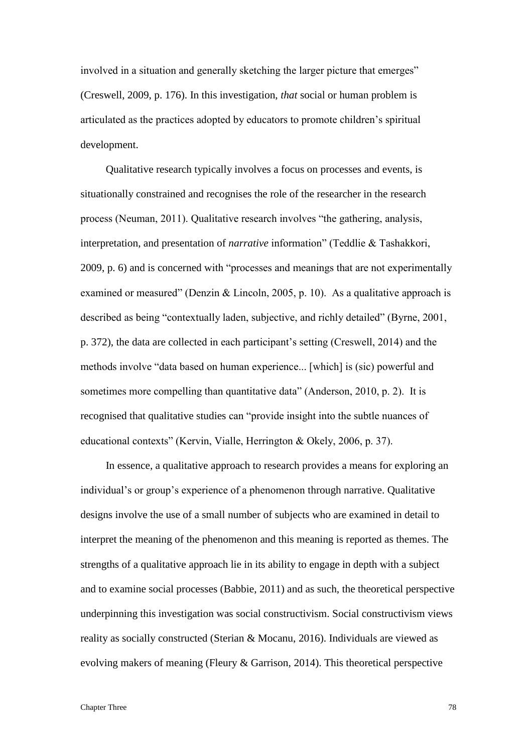involved in a situation and generally sketching the larger picture that emerges" (Creswell, 2009, p. 176). In this investigation, *that* social or human problem is articulated as the practices adopted by educators to promote children's spiritual development.

Qualitative research typically involves a focus on processes and events, is situationally constrained and recognises the role of the researcher in the research process (Neuman, 2011). Qualitative research involves "the gathering, analysis, interpretation, and presentation of *narrative* information" (Teddlie & Tashakkori, 2009, p. 6) and is concerned with "processes and meanings that are not experimentally examined or measured" (Denzin & Lincoln, 2005, p. 10). As a qualitative approach is described as being "contextually laden, subjective, and richly detailed" (Byrne, 2001, p. 372), the data are collected in each participant's setting (Creswell, 2014) and the methods involve "data based on human experience... [which] is (sic) powerful and sometimes more compelling than quantitative data" (Anderson, 2010, p. 2). It is recognised that qualitative studies can "provide insight into the subtle nuances of educational contexts" (Kervin, Vialle, Herrington & Okely, 2006, p. 37).

In essence, a qualitative approach to research provides a means for exploring an individual's or group's experience of a phenomenon through narrative. Qualitative designs involve the use of a small number of subjects who are examined in detail to interpret the meaning of the phenomenon and this meaning is reported as themes. The strengths of a qualitative approach lie in its ability to engage in depth with a subject and to examine social processes (Babbie, 2011) and as such, the theoretical perspective underpinning this investigation was social constructivism. Social constructivism views reality as socially constructed (Sterian & Mocanu, 2016). Individuals are viewed as evolving makers of meaning (Fleury & Garrison, 2014). This theoretical perspective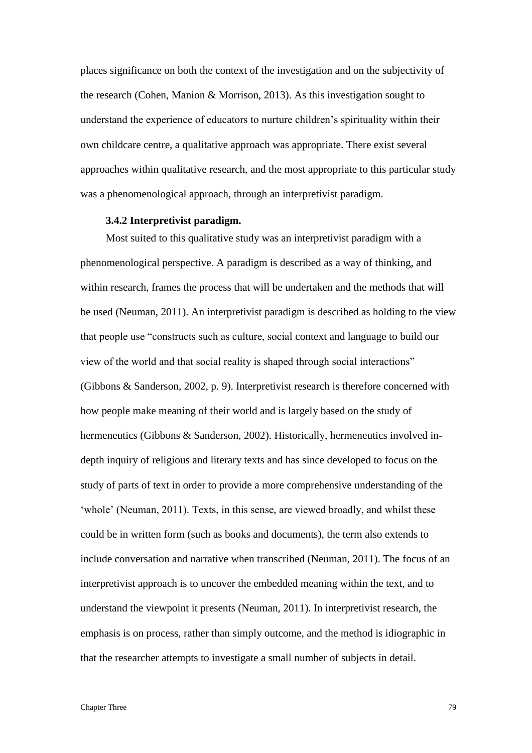places significance on both the context of the investigation and on the subjectivity of the research (Cohen, Manion & Morrison, 2013). As this investigation sought to understand the experience of educators to nurture children's spirituality within their own childcare centre, a qualitative approach was appropriate. There exist several approaches within qualitative research, and the most appropriate to this particular study was a phenomenological approach, through an interpretivist paradigm.

#### **3.4.2 Interpretivist paradigm.**

Most suited to this qualitative study was an interpretivist paradigm with a phenomenological perspective. A paradigm is described as a way of thinking, and within research, frames the process that will be undertaken and the methods that will be used (Neuman, 2011). An interpretivist paradigm is described as holding to the view that people use "constructs such as culture, social context and language to build our view of the world and that social reality is shaped through social interactions" (Gibbons & Sanderson, 2002, p. 9). Interpretivist research is therefore concerned with how people make meaning of their world and is largely based on the study of hermeneutics (Gibbons & Sanderson, 2002). Historically, hermeneutics involved indepth inquiry of religious and literary texts and has since developed to focus on the study of parts of text in order to provide a more comprehensive understanding of the 'whole' (Neuman, 2011). Texts, in this sense, are viewed broadly, and whilst these could be in written form (such as books and documents), the term also extends to include conversation and narrative when transcribed (Neuman, 2011). The focus of an interpretivist approach is to uncover the embedded meaning within the text, and to understand the viewpoint it presents (Neuman, 2011). In interpretivist research, the emphasis is on process, rather than simply outcome, and the method is idiographic in that the researcher attempts to investigate a small number of subjects in detail.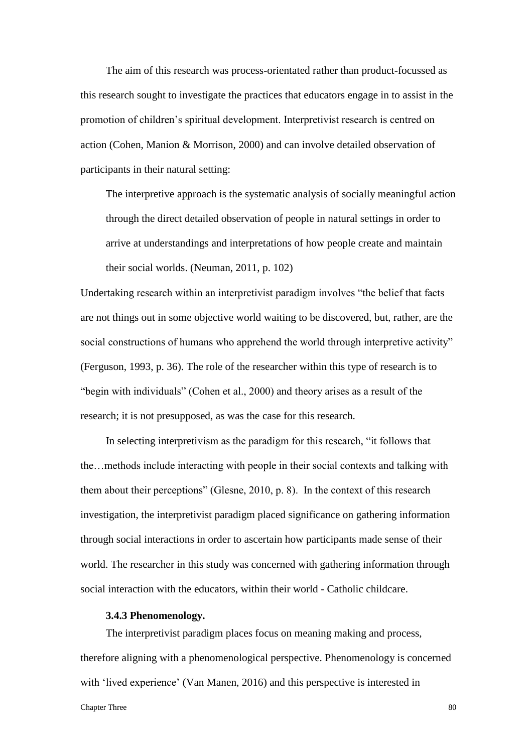The aim of this research was process-orientated rather than product-focussed as this research sought to investigate the practices that educators engage in to assist in the promotion of children's spiritual development. Interpretivist research is centred on action (Cohen, Manion & Morrison, 2000) and can involve detailed observation of participants in their natural setting:

The interpretive approach is the systematic analysis of socially meaningful action through the direct detailed observation of people in natural settings in order to arrive at understandings and interpretations of how people create and maintain their social worlds. (Neuman, 2011, p. 102)

Undertaking research within an interpretivist paradigm involves "the belief that facts are not things out in some objective world waiting to be discovered, but, rather, are the social constructions of humans who apprehend the world through interpretive activity" (Ferguson, 1993, p. 36). The role of the researcher within this type of research is to "begin with individuals" (Cohen et al., 2000) and theory arises as a result of the research; it is not presupposed, as was the case for this research.

In selecting interpretivism as the paradigm for this research, "it follows that the…methods include interacting with people in their social contexts and talking with them about their perceptions" (Glesne, 2010, p. 8). In the context of this research investigation, the interpretivist paradigm placed significance on gathering information through social interactions in order to ascertain how participants made sense of their world. The researcher in this study was concerned with gathering information through social interaction with the educators, within their world - Catholic childcare.

# **3.4.3 Phenomenology.**

The interpretivist paradigm places focus on meaning making and process, therefore aligning with a phenomenological perspective. Phenomenology is concerned with 'lived experience' (Van Manen, 2016) and this perspective is interested in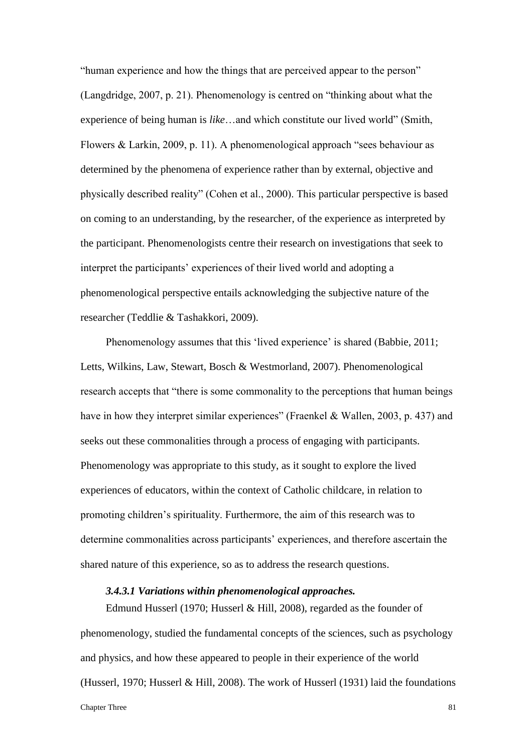"human experience and how the things that are perceived appear to the person" (Langdridge, 2007, p. 21). Phenomenology is centred on "thinking about what the experience of being human is *like*…and which constitute our lived world" (Smith, Flowers & Larkin, 2009, p. 11). A phenomenological approach "sees behaviour as determined by the phenomena of experience rather than by external, objective and physically described reality" (Cohen et al., 2000). This particular perspective is based on coming to an understanding, by the researcher, of the experience as interpreted by the participant. Phenomenologists centre their research on investigations that seek to interpret the participants' experiences of their lived world and adopting a phenomenological perspective entails acknowledging the subjective nature of the researcher (Teddlie & Tashakkori, 2009).

Phenomenology assumes that this 'lived experience' is shared (Babbie, 2011; Letts, Wilkins, Law, Stewart, Bosch & Westmorland, 2007). Phenomenological research accepts that "there is some commonality to the perceptions that human beings have in how they interpret similar experiences" (Fraenkel & Wallen, 2003, p. 437) and seeks out these commonalities through a process of engaging with participants. Phenomenology was appropriate to this study, as it sought to explore the lived experiences of educators, within the context of Catholic childcare, in relation to promoting children's spirituality. Furthermore, the aim of this research was to determine commonalities across participants' experiences, and therefore ascertain the shared nature of this experience, so as to address the research questions.

#### *3.4.3.1 Variations within phenomenological approaches.*

Chapter Three 81 Edmund Husserl (1970; Husserl & Hill, 2008), regarded as the founder of phenomenology, studied the fundamental concepts of the sciences, such as psychology and physics, and how these appeared to people in their experience of the world (Husserl, 1970; Husserl & Hill, 2008). The work of Husserl (1931) laid the foundations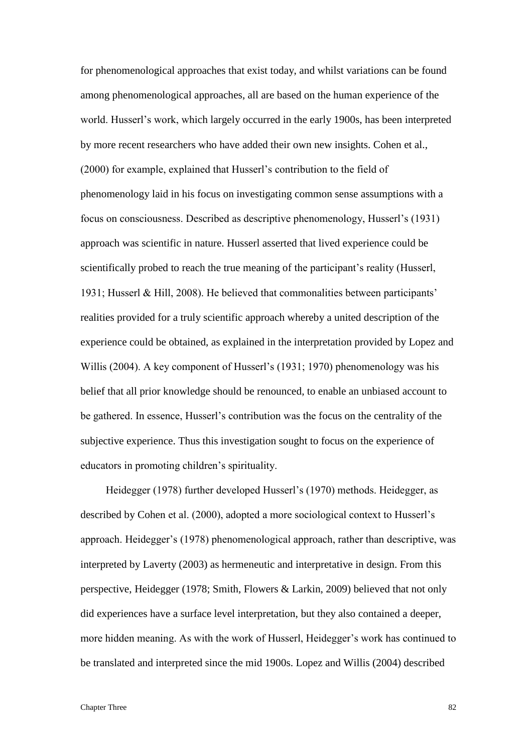for phenomenological approaches that exist today, and whilst variations can be found among phenomenological approaches, all are based on the human experience of the world. Husserl's work, which largely occurred in the early 1900s, has been interpreted by more recent researchers who have added their own new insights. Cohen et al., (2000) for example, explained that Husserl's contribution to the field of phenomenology laid in his focus on investigating common sense assumptions with a focus on consciousness. Described as descriptive phenomenology, Husserl's (1931) approach was scientific in nature. Husserl asserted that lived experience could be scientifically probed to reach the true meaning of the participant's reality (Husserl, 1931; Husserl & Hill, 2008). He believed that commonalities between participants' realities provided for a truly scientific approach whereby a united description of the experience could be obtained, as explained in the interpretation provided by Lopez and Willis (2004). A key component of Husserl's (1931; 1970) phenomenology was his belief that all prior knowledge should be renounced, to enable an unbiased account to be gathered. In essence, Husserl's contribution was the focus on the centrality of the subjective experience. Thus this investigation sought to focus on the experience of educators in promoting children's spirituality.

Heidegger (1978) further developed Husserl's (1970) methods. Heidegger, as described by Cohen et al. (2000), adopted a more sociological context to Husserl's approach. Heidegger's (1978) phenomenological approach, rather than descriptive, was interpreted by Laverty (2003) as hermeneutic and interpretative in design. From this perspective, Heidegger (1978; Smith, Flowers & Larkin, 2009) believed that not only did experiences have a surface level interpretation, but they also contained a deeper, more hidden meaning. As with the work of Husserl, Heidegger's work has continued to be translated and interpreted since the mid 1900s. Lopez and Willis (2004) described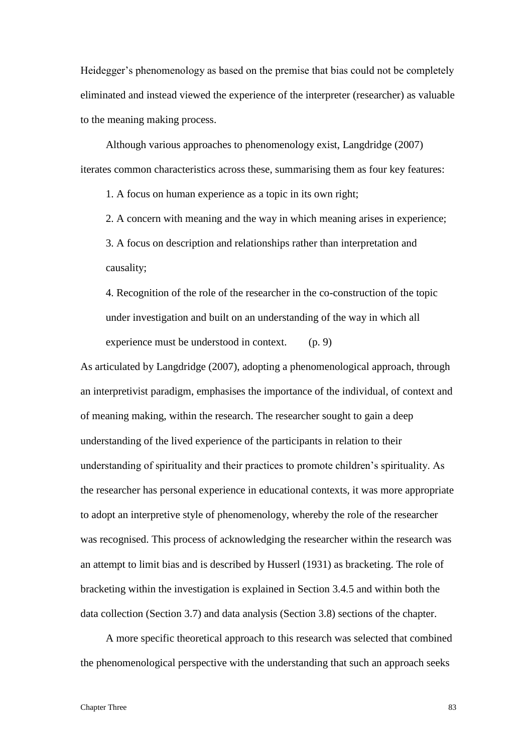Heidegger's phenomenology as based on the premise that bias could not be completely eliminated and instead viewed the experience of the interpreter (researcher) as valuable to the meaning making process.

Although various approaches to phenomenology exist, Langdridge (2007) iterates common characteristics across these, summarising them as four key features:

1. A focus on human experience as a topic in its own right;

2. A concern with meaning and the way in which meaning arises in experience;

3. A focus on description and relationships rather than interpretation and causality;

4. Recognition of the role of the researcher in the co-construction of the topic under investigation and built on an understanding of the way in which all experience must be understood in context. (p. 9)

As articulated by Langdridge (2007), adopting a phenomenological approach, through an interpretivist paradigm, emphasises the importance of the individual, of context and of meaning making, within the research. The researcher sought to gain a deep understanding of the lived experience of the participants in relation to their understanding of spirituality and their practices to promote children's spirituality. As the researcher has personal experience in educational contexts, it was more appropriate to adopt an interpretive style of phenomenology, whereby the role of the researcher was recognised. This process of acknowledging the researcher within the research was an attempt to limit bias and is described by Husserl (1931) as bracketing. The role of bracketing within the investigation is explained in Section 3.4.5 and within both the data collection (Section 3.7) and data analysis (Section 3.8) sections of the chapter.

A more specific theoretical approach to this research was selected that combined the phenomenological perspective with the understanding that such an approach seeks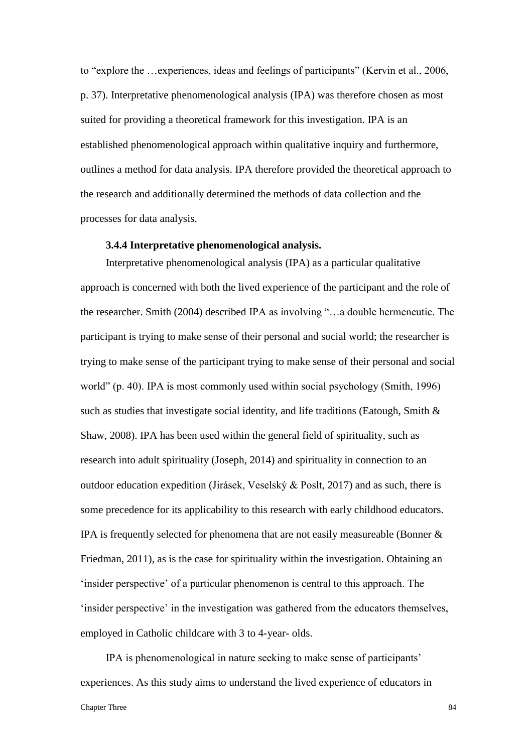to "explore the …experiences, ideas and feelings of participants" (Kervin et al., 2006, p. 37). Interpretative phenomenological analysis (IPA) was therefore chosen as most suited for providing a theoretical framework for this investigation. IPA is an established phenomenological approach within qualitative inquiry and furthermore, outlines a method for data analysis. IPA therefore provided the theoretical approach to the research and additionally determined the methods of data collection and the processes for data analysis.

# **3.4.4 Interpretative phenomenological analysis.**

Interpretative phenomenological analysis (IPA) as a particular qualitative approach is concerned with both the lived experience of the participant and the role of the researcher. Smith (2004) described IPA as involving "…a double hermeneutic. The participant is trying to make sense of their personal and social world; the researcher is trying to make sense of the participant trying to make sense of their personal and social world" (p. 40). IPA is most commonly used within social psychology (Smith, 1996) such as studies that investigate social identity, and life traditions (Eatough, Smith & Shaw, 2008). IPA has been used within the general field of spirituality, such as research into adult spirituality (Joseph, 2014) and spirituality in connection to an outdoor education expedition (Jirásek, Veselský & Poslt, 2017) and as such, there is some precedence for its applicability to this research with early childhood educators. IPA is frequently selected for phenomena that are not easily measureable (Bonner & Friedman, 2011), as is the case for spirituality within the investigation. Obtaining an 'insider perspective' of a particular phenomenon is central to this approach. The 'insider perspective' in the investigation was gathered from the educators themselves, employed in Catholic childcare with 3 to 4-year- olds.

IPA is phenomenological in nature seeking to make sense of participants' experiences. As this study aims to understand the lived experience of educators in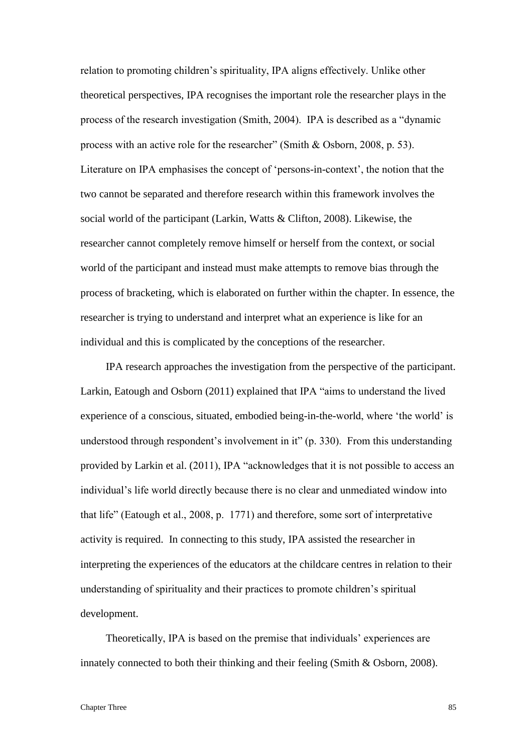relation to promoting children's spirituality, IPA aligns effectively. Unlike other theoretical perspectives, IPA recognises the important role the researcher plays in the process of the research investigation (Smith, 2004). IPA is described as a "dynamic process with an active role for the researcher" (Smith & Osborn, 2008, p. 53). Literature on IPA emphasises the concept of 'persons-in-context', the notion that the two cannot be separated and therefore research within this framework involves the social world of the participant (Larkin, Watts & Clifton, 2008). Likewise, the researcher cannot completely remove himself or herself from the context, or social world of the participant and instead must make attempts to remove bias through the process of bracketing, which is elaborated on further within the chapter. In essence, the researcher is trying to understand and interpret what an experience is like for an individual and this is complicated by the conceptions of the researcher.

IPA research approaches the investigation from the perspective of the participant. Larkin, Eatough and Osborn (2011) explained that IPA "aims to understand the lived experience of a conscious, situated, embodied being-in-the-world, where 'the world' is understood through respondent's involvement in it" (p. 330). From this understanding provided by Larkin et al. (2011), IPA "acknowledges that it is not possible to access an individual's life world directly because there is no clear and unmediated window into that life" (Eatough et al., 2008, p. 1771) and therefore, some sort of interpretative activity is required. In connecting to this study, IPA assisted the researcher in interpreting the experiences of the educators at the childcare centres in relation to their understanding of spirituality and their practices to promote children's spiritual development.

Theoretically, IPA is based on the premise that individuals' experiences are innately connected to both their thinking and their feeling (Smith & Osborn, 2008).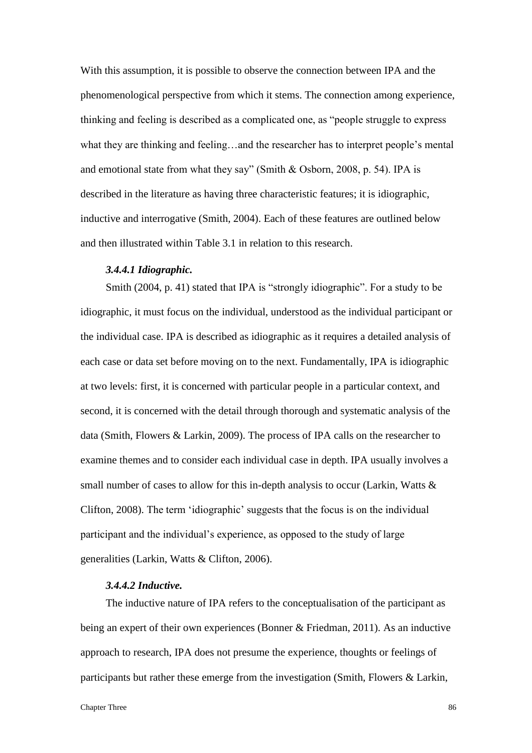With this assumption, it is possible to observe the connection between IPA and the phenomenological perspective from which it stems. The connection among experience, thinking and feeling is described as a complicated one, as "people struggle to express what they are thinking and feeling…and the researcher has to interpret people's mental and emotional state from what they say" (Smith & Osborn, 2008, p. 54). IPA is described in the literature as having three characteristic features; it is idiographic, inductive and interrogative (Smith, 2004). Each of these features are outlined below and then illustrated within Table 3.1 in relation to this research.

# *3.4.4.1 Idiographic.*

Smith (2004, p. 41) stated that IPA is "strongly idiographic". For a study to be idiographic, it must focus on the individual, understood as the individual participant or the individual case. IPA is described as idiographic as it requires a detailed analysis of each case or data set before moving on to the next. Fundamentally, IPA is idiographic at two levels: first, it is concerned with particular people in a particular context, and second, it is concerned with the detail through thorough and systematic analysis of the data (Smith, Flowers & Larkin, 2009). The process of IPA calls on the researcher to examine themes and to consider each individual case in depth. IPA usually involves a small number of cases to allow for this in-depth analysis to occur (Larkin, Watts  $\&$ Clifton, 2008). The term 'idiographic' suggests that the focus is on the individual participant and the individual's experience, as opposed to the study of large generalities (Larkin, Watts & Clifton, 2006).

# *3.4.4.2 Inductive.*

The inductive nature of IPA refers to the conceptualisation of the participant as being an expert of their own experiences (Bonner & Friedman, 2011). As an inductive approach to research, IPA does not presume the experience, thoughts or feelings of participants but rather these emerge from the investigation (Smith, Flowers & Larkin,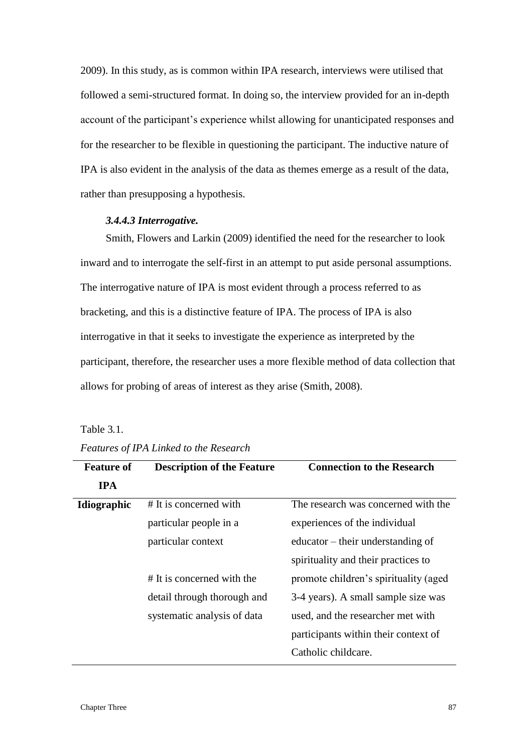2009). In this study, as is common within IPA research, interviews were utilised that followed a semi-structured format. In doing so, the interview provided for an in-depth account of the participant's experience whilst allowing for unanticipated responses and for the researcher to be flexible in questioning the participant. The inductive nature of IPA is also evident in the analysis of the data as themes emerge as a result of the data, rather than presupposing a hypothesis.

# *3.4.4.3 Interrogative.*

Smith, Flowers and Larkin (2009) identified the need for the researcher to look inward and to interrogate the self-first in an attempt to put aside personal assumptions. The interrogative nature of IPA is most evident through a process referred to as bracketing, and this is a distinctive feature of IPA. The process of IPA is also interrogative in that it seeks to investigate the experience as interpreted by the participant, therefore, the researcher uses a more flexible method of data collection that allows for probing of areas of interest as they arise (Smith, 2008).

| Table 3.1. |
|------------|
|------------|

| <b>Feature of</b> | <b>Description of the Feature</b> | <b>Connection to the Research</b>     |
|-------------------|-----------------------------------|---------------------------------------|
| <b>IPA</b>        |                                   |                                       |
| Idiographic       | # It is concerned with            | The research was concerned with the   |
|                   | particular people in a            | experiences of the individual         |
|                   | particular context                | educator – their understanding of     |
|                   |                                   | spirituality and their practices to   |
|                   | # It is concerned with the        | promote children's spirituality (aged |
|                   | detail through thorough and       | 3-4 years). A small sample size was   |
|                   | systematic analysis of data       | used, and the researcher met with     |
|                   |                                   | participants within their context of  |
|                   |                                   | Catholic childcare.                   |
|                   |                                   |                                       |

# *Features of IPA Linked to the Research*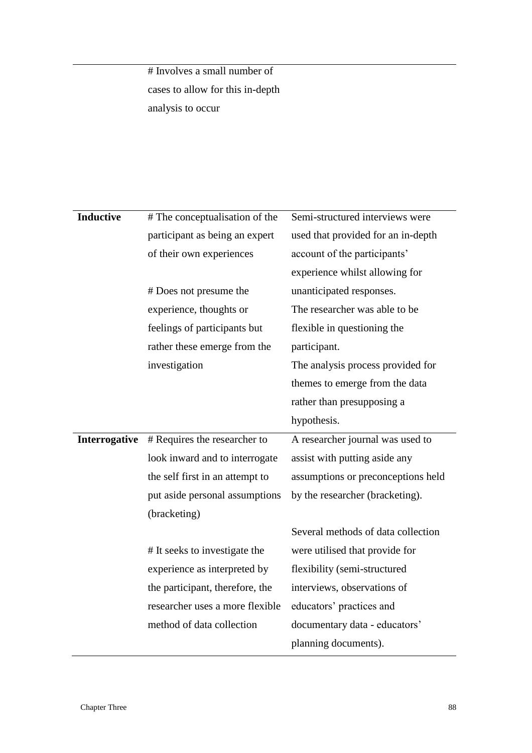# Involves a small number of cases to allow for this in-depth analysis to occur

| <b>Inductive</b> | # The conceptualisation of the  | Semi-structured interviews were    |
|------------------|---------------------------------|------------------------------------|
|                  |                                 |                                    |
|                  | participant as being an expert  | used that provided for an in-depth |
|                  | of their own experiences        | account of the participants'       |
|                  |                                 | experience whilst allowing for     |
|                  | # Does not presume the          | unanticipated responses.           |
|                  | experience, thoughts or         | The researcher was able to be      |
|                  | feelings of participants but    | flexible in questioning the        |
|                  | rather these emerge from the    | participant.                       |
|                  | investigation                   | The analysis process provided for  |
|                  |                                 | themes to emerge from the data     |
|                  |                                 | rather than presupposing a         |
|                  |                                 | hypothesis.                        |
| Interrogative    | # Requires the researcher to    | A researcher journal was used to   |
|                  | look inward and to interrogate  | assist with putting aside any      |
|                  | the self first in an attempt to | assumptions or preconceptions held |
|                  | put aside personal assumptions  | by the researcher (bracketing).    |
|                  | (bracketing)                    |                                    |
|                  |                                 | Several methods of data collection |
|                  | # It seeks to investigate the   | were utilised that provide for     |
|                  | experience as interpreted by    | flexibility (semi-structured       |
|                  | the participant, therefore, the | interviews, observations of        |
|                  | researcher uses a more flexible | educators' practices and           |
|                  | method of data collection       | documentary data - educators'      |
|                  |                                 | planning documents).               |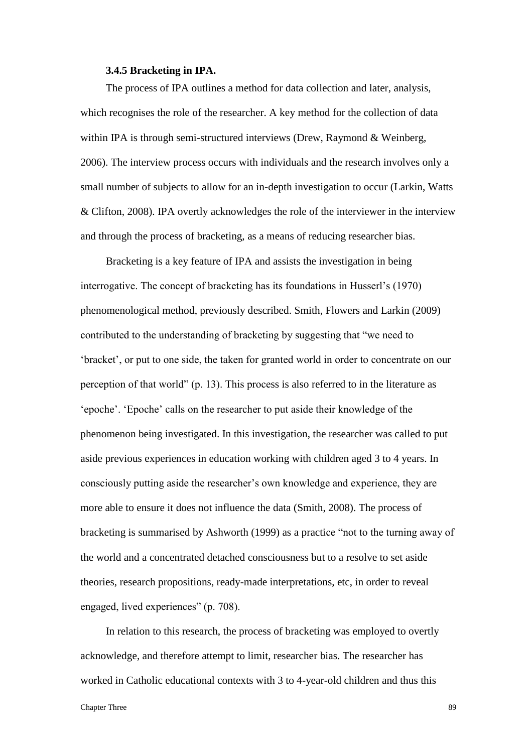#### **3.4.5 Bracketing in IPA.**

The process of IPA outlines a method for data collection and later, analysis, which recognises the role of the researcher. A key method for the collection of data within IPA is through semi-structured interviews (Drew, Raymond & Weinberg, 2006). The interview process occurs with individuals and the research involves only a small number of subjects to allow for an in-depth investigation to occur (Larkin, Watts & Clifton, 2008). IPA overtly acknowledges the role of the interviewer in the interview and through the process of bracketing, as a means of reducing researcher bias.

Bracketing is a key feature of IPA and assists the investigation in being interrogative. The concept of bracketing has its foundations in Husserl's (1970) phenomenological method, previously described. Smith, Flowers and Larkin (2009) contributed to the understanding of bracketing by suggesting that "we need to 'bracket', or put to one side, the taken for granted world in order to concentrate on our perception of that world" (p. 13). This process is also referred to in the literature as 'epoche'. 'Epoche' calls on the researcher to put aside their knowledge of the phenomenon being investigated. In this investigation, the researcher was called to put aside previous experiences in education working with children aged 3 to 4 years. In consciously putting aside the researcher's own knowledge and experience, they are more able to ensure it does not influence the data (Smith, 2008). The process of bracketing is summarised by Ashworth (1999) as a practice "not to the turning away of the world and a concentrated detached consciousness but to a resolve to set aside theories, research propositions, ready-made interpretations, etc, in order to reveal engaged, lived experiences" (p. 708).

In relation to this research, the process of bracketing was employed to overtly acknowledge, and therefore attempt to limit, researcher bias. The researcher has worked in Catholic educational contexts with 3 to 4-year-old children and thus this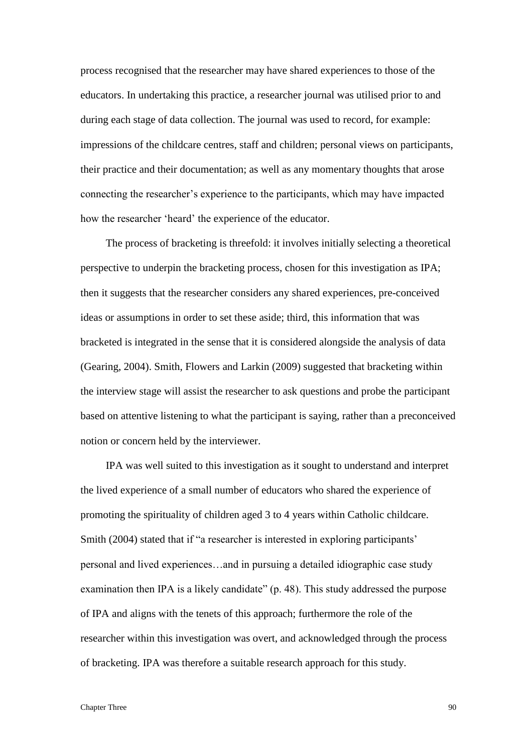process recognised that the researcher may have shared experiences to those of the educators. In undertaking this practice, a researcher journal was utilised prior to and during each stage of data collection. The journal was used to record, for example: impressions of the childcare centres, staff and children; personal views on participants, their practice and their documentation; as well as any momentary thoughts that arose connecting the researcher's experience to the participants, which may have impacted how the researcher 'heard' the experience of the educator.

The process of bracketing is threefold: it involves initially selecting a theoretical perspective to underpin the bracketing process, chosen for this investigation as IPA; then it suggests that the researcher considers any shared experiences, pre-conceived ideas or assumptions in order to set these aside; third, this information that was bracketed is integrated in the sense that it is considered alongside the analysis of data (Gearing, 2004). Smith, Flowers and Larkin (2009) suggested that bracketing within the interview stage will assist the researcher to ask questions and probe the participant based on attentive listening to what the participant is saying, rather than a preconceived notion or concern held by the interviewer.

IPA was well suited to this investigation as it sought to understand and interpret the lived experience of a small number of educators who shared the experience of promoting the spirituality of children aged 3 to 4 years within Catholic childcare. Smith (2004) stated that if "a researcher is interested in exploring participants' personal and lived experiences…and in pursuing a detailed idiographic case study examination then IPA is a likely candidate" (p. 48). This study addressed the purpose of IPA and aligns with the tenets of this approach; furthermore the role of the researcher within this investigation was overt, and acknowledged through the process of bracketing. IPA was therefore a suitable research approach for this study.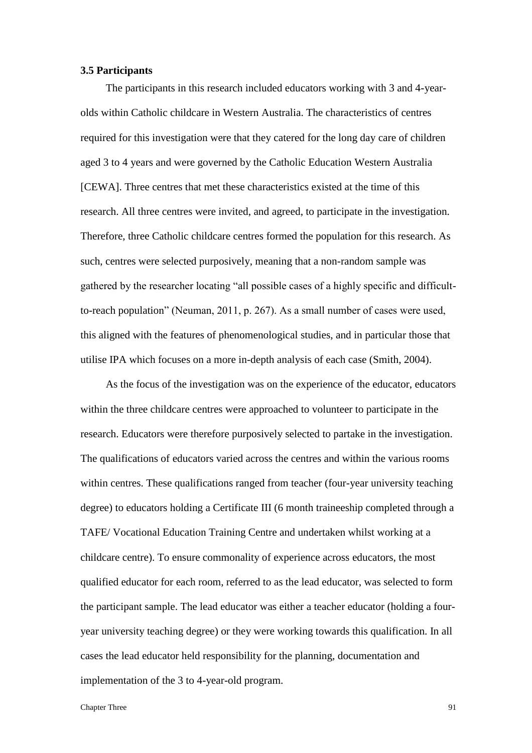## **3.5 Participants**

The participants in this research included educators working with 3 and 4-yearolds within Catholic childcare in Western Australia. The characteristics of centres required for this investigation were that they catered for the long day care of children aged 3 to 4 years and were governed by the Catholic Education Western Australia [CEWA]. Three centres that met these characteristics existed at the time of this research. All three centres were invited, and agreed, to participate in the investigation. Therefore, three Catholic childcare centres formed the population for this research. As such, centres were selected purposively, meaning that a non-random sample was gathered by the researcher locating "all possible cases of a highly specific and difficultto-reach population" (Neuman, 2011, p. 267). As a small number of cases were used, this aligned with the features of phenomenological studies, and in particular those that utilise IPA which focuses on a more in-depth analysis of each case (Smith, 2004).

As the focus of the investigation was on the experience of the educator, educators within the three childcare centres were approached to volunteer to participate in the research. Educators were therefore purposively selected to partake in the investigation. The qualifications of educators varied across the centres and within the various rooms within centres. These qualifications ranged from teacher (four-year university teaching degree) to educators holding a Certificate III (6 month traineeship completed through a TAFE/ Vocational Education Training Centre and undertaken whilst working at a childcare centre). To ensure commonality of experience across educators, the most qualified educator for each room, referred to as the lead educator, was selected to form the participant sample. The lead educator was either a teacher educator (holding a fouryear university teaching degree) or they were working towards this qualification. In all cases the lead educator held responsibility for the planning, documentation and implementation of the 3 to 4-year-old program.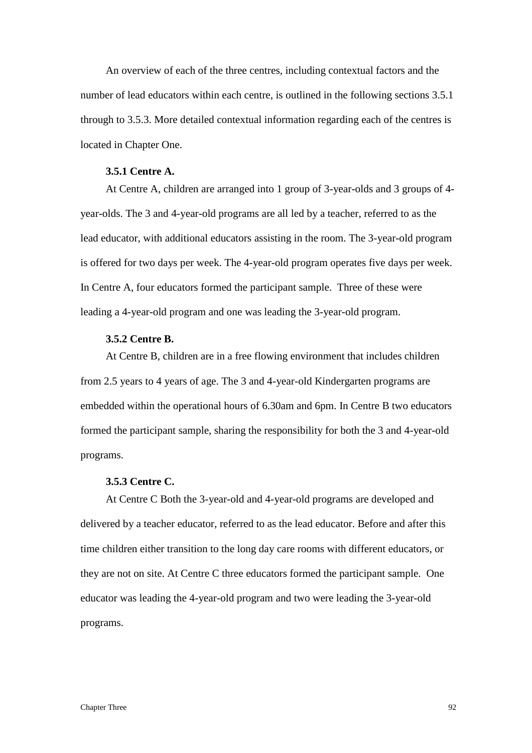An overview of each of the three centres, including contextual factors and the number of lead educators within each centre, is outlined in the following sections 3.5.1 through to 3.5.3. More detailed contextual information regarding each of the centres is located in Chapter One.

# **3.5.1 Centre A.**

At Centre A, children are arranged into 1 group of 3-year-olds and 3 groups of 4 year-olds. The 3 and 4-year-old programs are all led by a teacher, referred to as the lead educator, with additional educators assisting in the room. The 3-year-old program is offered for two days per week. The 4-year-old program operates five days per week. In Centre A, four educators formed the participant sample. Three of these were leading a 4-year-old program and one was leading the 3-year-old program.

# **3.5.2 Centre B.**

At Centre B, children are in a free flowing environment that includes children from 2.5 years to 4 years of age. The 3 and 4-year-old Kindergarten programs are embedded within the operational hours of 6.30am and 6pm. In Centre B two educators formed the participant sample, sharing the responsibility for both the 3 and 4-year-old programs.

### **3.5.3 Centre C.**

At Centre C Both the 3-year-old and 4-year-old programs are developed and delivered by a teacher educator, referred to as the lead educator. Before and after this time children either transition to the long day care rooms with different educators, or they are not on site. At Centre C three educators formed the participant sample. One educator was leading the 4-year-old program and two were leading the 3-year-old programs.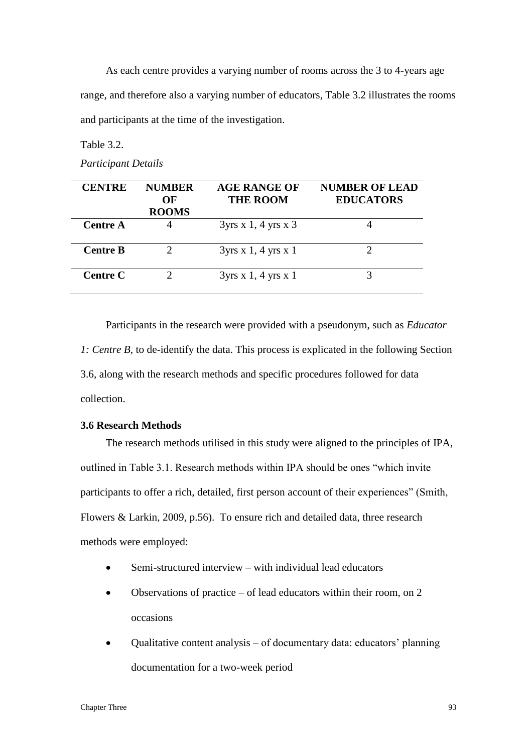As each centre provides a varying number of rooms across the 3 to 4-years age range, and therefore also a varying number of educators, Table 3.2 illustrates the rooms and participants at the time of the investigation.

Table 3.2.

*Participant Details*

| <b>CENTRE</b>   | <b>NUMBER</b>      | <b>AGE RANGE OF</b>                | <b>NUMBER OF LEAD</b> |
|-----------------|--------------------|------------------------------------|-----------------------|
|                 | OF<br><b>ROOMS</b> | <b>THE ROOM</b>                    | <b>EDUCATORS</b>      |
| Centre A        |                    | $3yrs \times 1$ , 4 yrs $\times 3$ |                       |
| <b>Centre B</b> |                    | 3yrs x 1, 4 yrs x 1                |                       |
| <b>Centre C</b> |                    | 3yrs x 1, 4 yrs x 1                |                       |

Participants in the research were provided with a pseudonym, such as *Educator 1: Centre B*, to de-identify the data. This process is explicated in the following Section 3.6, along with the research methods and specific procedures followed for data collection.

# **3.6 Research Methods**

The research methods utilised in this study were aligned to the principles of IPA, outlined in Table 3.1. Research methods within IPA should be ones "which invite participants to offer a rich, detailed, first person account of their experiences" (Smith, Flowers & Larkin, 2009, p.56). To ensure rich and detailed data, three research methods were employed:

- Semi-structured interview with individual lead educators
- Observations of practice of lead educators within their room, on 2 occasions
- Qualitative content analysis of documentary data: educators' planning documentation for a two-week period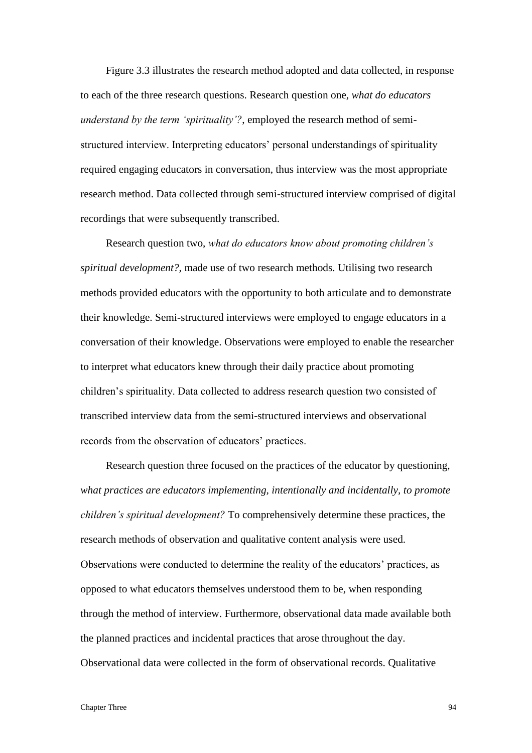Figure 3.3 illustrates the research method adopted and data collected, in response to each of the three research questions. Research question one, *what do educators understand by the term 'spirituality'?*, employed the research method of semistructured interview. Interpreting educators' personal understandings of spirituality required engaging educators in conversation, thus interview was the most appropriate research method. Data collected through semi-structured interview comprised of digital recordings that were subsequently transcribed.

Research question two, *what do educators know about promoting children's spiritual development?,* made use of two research methods. Utilising two research methods provided educators with the opportunity to both articulate and to demonstrate their knowledge. Semi-structured interviews were employed to engage educators in a conversation of their knowledge. Observations were employed to enable the researcher to interpret what educators knew through their daily practice about promoting children's spirituality. Data collected to address research question two consisted of transcribed interview data from the semi-structured interviews and observational records from the observation of educators' practices.

Research question three focused on the practices of the educator by questioning, *what practices are educators implementing, intentionally and incidentally, to promote children's spiritual development?* To comprehensively determine these practices, the research methods of observation and qualitative content analysis were used. Observations were conducted to determine the reality of the educators' practices, as opposed to what educators themselves understood them to be, when responding through the method of interview. Furthermore, observational data made available both the planned practices and incidental practices that arose throughout the day. Observational data were collected in the form of observational records. Qualitative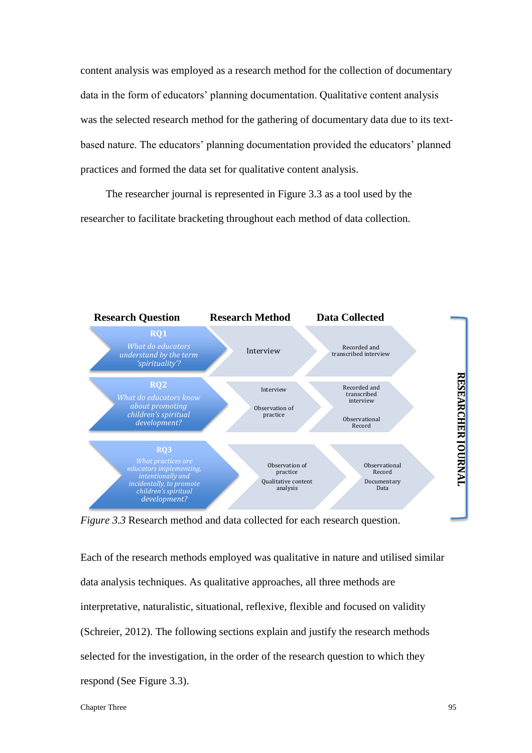content analysis was employed as a research method for the collection of documentary data in the form of educators' planning documentation. Qualitative content analysis was the selected research method for the gathering of documentary data due to its textbased nature. The educators' planning documentation provided the educators' planned practices and formed the data set for qualitative content analysis.

The researcher journal is represented in Figure 3.3 as a tool used by the researcher to facilitate bracketing throughout each method of data collection.



*Figure 3.3* Research method and data collected for each research question.

Each of the research methods employed was qualitative in nature and utilised similar data analysis techniques. As qualitative approaches, all three methods are interpretative, naturalistic, situational, reflexive, flexible and focused on validity (Schreier, 2012). The following sections explain and justify the research methods selected for the investigation, in the order of the research question to which they respond (See Figure 3.3).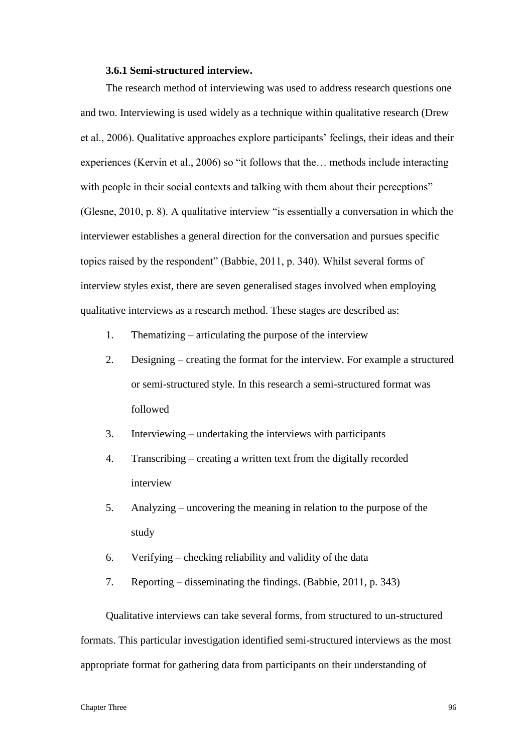#### **3.6.1 Semi-structured interview.**

The research method of interviewing was used to address research questions one and two. Interviewing is used widely as a technique within qualitative research (Drew et al., 2006). Qualitative approaches explore participants' feelings, their ideas and their experiences (Kervin et al., 2006) so "it follows that the… methods include interacting with people in their social contexts and talking with them about their perceptions" (Glesne, 2010, p. 8). A qualitative interview "is essentially a conversation in which the interviewer establishes a general direction for the conversation and pursues specific topics raised by the respondent" (Babbie, 2011, p. 340). Whilst several forms of interview styles exist, there are seven generalised stages involved when employing qualitative interviews as a research method. These stages are described as:

- 1. Thematizing articulating the purpose of the interview
- 2. Designing creating the format for the interview. For example a structured or semi-structured style. In this research a semi-structured format was followed
- 3. Interviewing undertaking the interviews with participants
- 4. Transcribing creating a written text from the digitally recorded interview
- 5. Analyzing uncovering the meaning in relation to the purpose of the study
- 6. Verifying checking reliability and validity of the data
- 7. Reporting disseminating the findings. (Babbie, 2011, p. 343)

Qualitative interviews can take several forms, from structured to un-structured formats. This particular investigation identified semi-structured interviews as the most appropriate format for gathering data from participants on their understanding of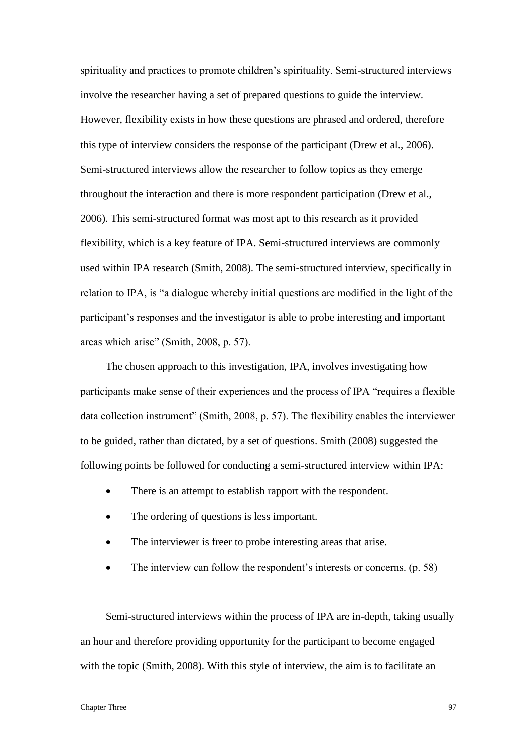spirituality and practices to promote children's spirituality. Semi-structured interviews involve the researcher having a set of prepared questions to guide the interview. However, flexibility exists in how these questions are phrased and ordered, therefore this type of interview considers the response of the participant (Drew et al., 2006). Semi-structured interviews allow the researcher to follow topics as they emerge throughout the interaction and there is more respondent participation (Drew et al., 2006). This semi-structured format was most apt to this research as it provided flexibility, which is a key feature of IPA. Semi-structured interviews are commonly used within IPA research (Smith, 2008). The semi-structured interview, specifically in relation to IPA, is "a dialogue whereby initial questions are modified in the light of the participant's responses and the investigator is able to probe interesting and important areas which arise" (Smith, 2008, p. 57).

The chosen approach to this investigation, IPA, involves investigating how participants make sense of their experiences and the process of IPA "requires a flexible data collection instrument" (Smith, 2008, p. 57). The flexibility enables the interviewer to be guided, rather than dictated, by a set of questions. Smith (2008) suggested the following points be followed for conducting a semi-structured interview within IPA:

- There is an attempt to establish rapport with the respondent.
- The ordering of questions is less important.
- The interviewer is freer to probe interesting areas that arise.
- The interview can follow the respondent's interests or concerns. (p. 58)

Semi-structured interviews within the process of IPA are in-depth, taking usually an hour and therefore providing opportunity for the participant to become engaged with the topic (Smith, 2008). With this style of interview, the aim is to facilitate an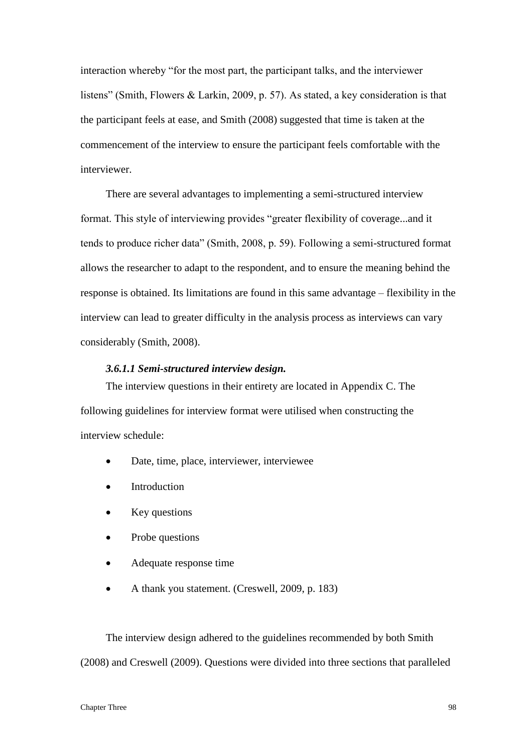interaction whereby "for the most part, the participant talks, and the interviewer listens" (Smith, Flowers & Larkin, 2009, p. 57). As stated, a key consideration is that the participant feels at ease, and Smith (2008) suggested that time is taken at the commencement of the interview to ensure the participant feels comfortable with the interviewer.

There are several advantages to implementing a semi-structured interview format. This style of interviewing provides "greater flexibility of coverage...and it tends to produce richer data" (Smith, 2008, p. 59). Following a semi-structured format allows the researcher to adapt to the respondent, and to ensure the meaning behind the response is obtained. Its limitations are found in this same advantage – flexibility in the interview can lead to greater difficulty in the analysis process as interviews can vary considerably (Smith, 2008).

## *3.6.1.1 Semi-structured interview design.*

The interview questions in their entirety are located in Appendix C. The following guidelines for interview format were utilised when constructing the interview schedule:

- Date, time, place, interviewer, interviewee
- Introduction
- Key questions
- Probe questions
- Adequate response time
- A thank you statement. (Creswell, 2009, p. 183)

The interview design adhered to the guidelines recommended by both Smith (2008) and Creswell (2009). Questions were divided into three sections that paralleled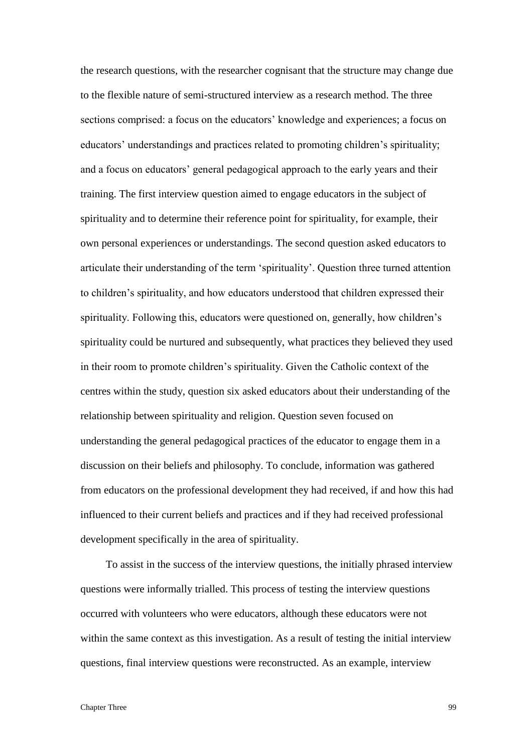the research questions, with the researcher cognisant that the structure may change due to the flexible nature of semi-structured interview as a research method. The three sections comprised: a focus on the educators' knowledge and experiences; a focus on educators' understandings and practices related to promoting children's spirituality; and a focus on educators' general pedagogical approach to the early years and their training. The first interview question aimed to engage educators in the subject of spirituality and to determine their reference point for spirituality, for example, their own personal experiences or understandings. The second question asked educators to articulate their understanding of the term 'spirituality'. Question three turned attention to children's spirituality, and how educators understood that children expressed their spirituality. Following this, educators were questioned on, generally, how children's spirituality could be nurtured and subsequently, what practices they believed they used in their room to promote children's spirituality. Given the Catholic context of the centres within the study, question six asked educators about their understanding of the relationship between spirituality and religion. Question seven focused on understanding the general pedagogical practices of the educator to engage them in a discussion on their beliefs and philosophy. To conclude, information was gathered from educators on the professional development they had received, if and how this had influenced to their current beliefs and practices and if they had received professional development specifically in the area of spirituality.

To assist in the success of the interview questions, the initially phrased interview questions were informally trialled. This process of testing the interview questions occurred with volunteers who were educators, although these educators were not within the same context as this investigation. As a result of testing the initial interview questions, final interview questions were reconstructed. As an example, interview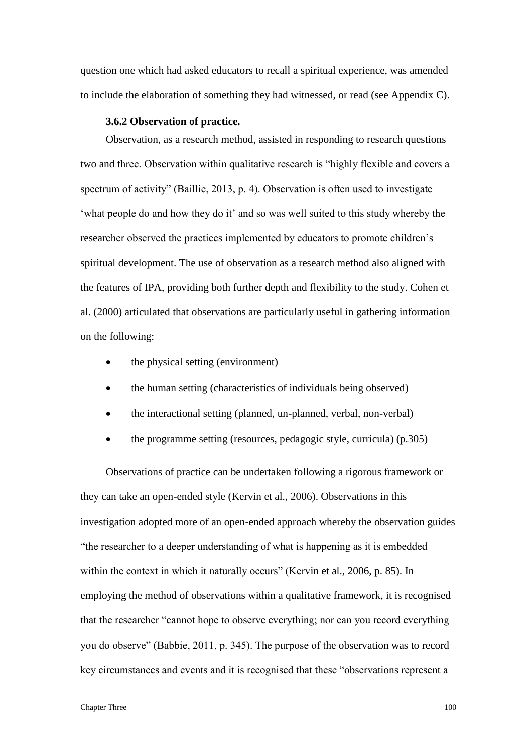question one which had asked educators to recall a spiritual experience, was amended to include the elaboration of something they had witnessed, or read (see Appendix C).

#### **3.6.2 Observation of practice.**

Observation, as a research method, assisted in responding to research questions two and three. Observation within qualitative research is "highly flexible and covers a spectrum of activity" (Baillie, 2013, p. 4). Observation is often used to investigate 'what people do and how they do it' and so was well suited to this study whereby the researcher observed the practices implemented by educators to promote children's spiritual development. The use of observation as a research method also aligned with the features of IPA, providing both further depth and flexibility to the study. Cohen et al. (2000) articulated that observations are particularly useful in gathering information on the following:

- the physical setting (environment)
- the human setting (characteristics of individuals being observed)
- the interactional setting (planned, un-planned, verbal, non-verbal)
- the programme setting (resources, pedagogic style, curricula) (p.305)

Observations of practice can be undertaken following a rigorous framework or they can take an open-ended style (Kervin et al., 2006). Observations in this investigation adopted more of an open-ended approach whereby the observation guides "the researcher to a deeper understanding of what is happening as it is embedded within the context in which it naturally occurs" (Kervin et al., 2006, p. 85). In employing the method of observations within a qualitative framework, it is recognised that the researcher "cannot hope to observe everything; nor can you record everything you do observe" (Babbie, 2011, p. 345). The purpose of the observation was to record key circumstances and events and it is recognised that these "observations represent a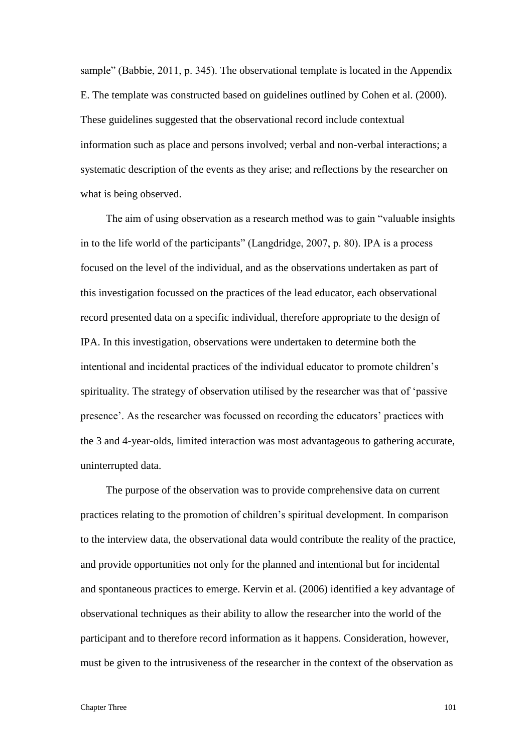sample" (Babbie, 2011, p. 345). The observational template is located in the Appendix E. The template was constructed based on guidelines outlined by Cohen et al. (2000). These guidelines suggested that the observational record include contextual information such as place and persons involved; verbal and non-verbal interactions; a systematic description of the events as they arise; and reflections by the researcher on what is being observed.

The aim of using observation as a research method was to gain "valuable insights in to the life world of the participants" (Langdridge, 2007, p. 80). IPA is a process focused on the level of the individual, and as the observations undertaken as part of this investigation focussed on the practices of the lead educator, each observational record presented data on a specific individual, therefore appropriate to the design of IPA. In this investigation, observations were undertaken to determine both the intentional and incidental practices of the individual educator to promote children's spirituality. The strategy of observation utilised by the researcher was that of 'passive presence'. As the researcher was focussed on recording the educators' practices with the 3 and 4-year-olds, limited interaction was most advantageous to gathering accurate, uninterrupted data.

The purpose of the observation was to provide comprehensive data on current practices relating to the promotion of children's spiritual development. In comparison to the interview data, the observational data would contribute the reality of the practice, and provide opportunities not only for the planned and intentional but for incidental and spontaneous practices to emerge. Kervin et al. (2006) identified a key advantage of observational techniques as their ability to allow the researcher into the world of the participant and to therefore record information as it happens. Consideration, however, must be given to the intrusiveness of the researcher in the context of the observation as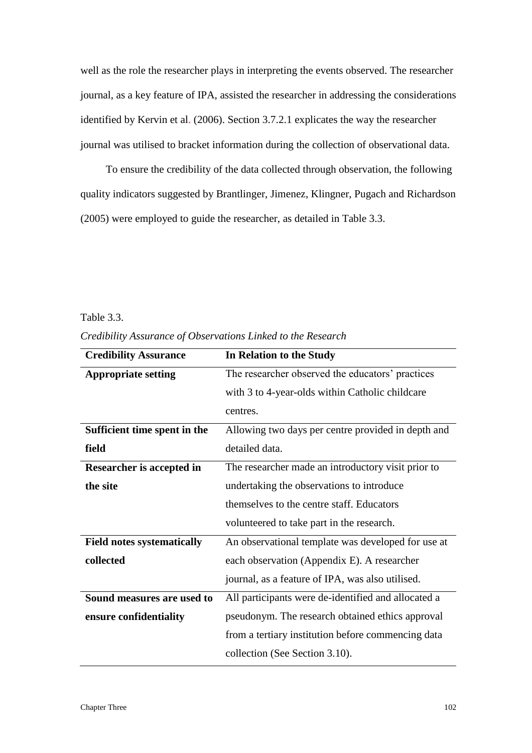well as the role the researcher plays in interpreting the events observed. The researcher journal, as a key feature of IPA, assisted the researcher in addressing the considerations identified by Kervin et al. (2006). Section 3.7.2.1 explicates the way the researcher journal was utilised to bracket information during the collection of observational data.

To ensure the credibility of the data collected through observation, the following quality indicators suggested by Brantlinger, Jimenez, Klingner, Pugach and Richardson (2005) were employed to guide the researcher, as detailed in Table 3.3.

# Table 3.3.

*Credibility Assurance of Observations Linked to the Research*

| <b>Credibility Assurance</b>      | In Relation to the Study                            |
|-----------------------------------|-----------------------------------------------------|
| <b>Appropriate setting</b>        | The researcher observed the educators' practices    |
|                                   | with 3 to 4-year-olds within Catholic childcare     |
|                                   | centres.                                            |
| Sufficient time spent in the      | Allowing two days per centre provided in depth and  |
| field                             | detailed data.                                      |
| Researcher is accepted in         | The researcher made an introductory visit prior to  |
| the site                          | undertaking the observations to introduce           |
|                                   | themselves to the centre staff. Educators           |
|                                   | volunteered to take part in the research.           |
| <b>Field notes systematically</b> | An observational template was developed for use at  |
| collected                         | each observation (Appendix E). A researcher         |
|                                   | journal, as a feature of IPA, was also utilised.    |
| Sound measures are used to        | All participants were de-identified and allocated a |
| ensure confidentiality            | pseudonym. The research obtained ethics approval    |
|                                   | from a tertiary institution before commencing data  |
|                                   | collection (See Section 3.10).                      |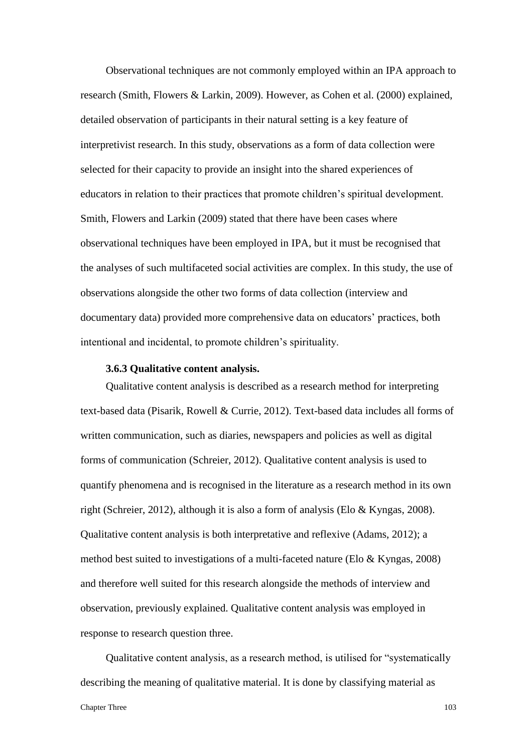Observational techniques are not commonly employed within an IPA approach to research (Smith, Flowers & Larkin, 2009). However, as Cohen et al. (2000) explained, detailed observation of participants in their natural setting is a key feature of interpretivist research. In this study, observations as a form of data collection were selected for their capacity to provide an insight into the shared experiences of educators in relation to their practices that promote children's spiritual development. Smith, Flowers and Larkin (2009) stated that there have been cases where observational techniques have been employed in IPA, but it must be recognised that the analyses of such multifaceted social activities are complex. In this study, the use of observations alongside the other two forms of data collection (interview and documentary data) provided more comprehensive data on educators' practices, both intentional and incidental, to promote children's spirituality.

#### **3.6.3 Qualitative content analysis.**

Qualitative content analysis is described as a research method for interpreting text-based data (Pisarik, Rowell & Currie, 2012). Text-based data includes all forms of written communication, such as diaries, newspapers and policies as well as digital forms of communication (Schreier, 2012). Qualitative content analysis is used to quantify phenomena and is recognised in the literature as a research method in its own right (Schreier, 2012), although it is also a form of analysis (Elo & Kyngas, 2008). Qualitative content analysis is both interpretative and reflexive (Adams, 2012); a method best suited to investigations of a multi-faceted nature (Elo & Kyngas, 2008) and therefore well suited for this research alongside the methods of interview and observation, previously explained. Qualitative content analysis was employed in response to research question three.

Qualitative content analysis, as a research method, is utilised for "systematically describing the meaning of qualitative material. It is done by classifying material as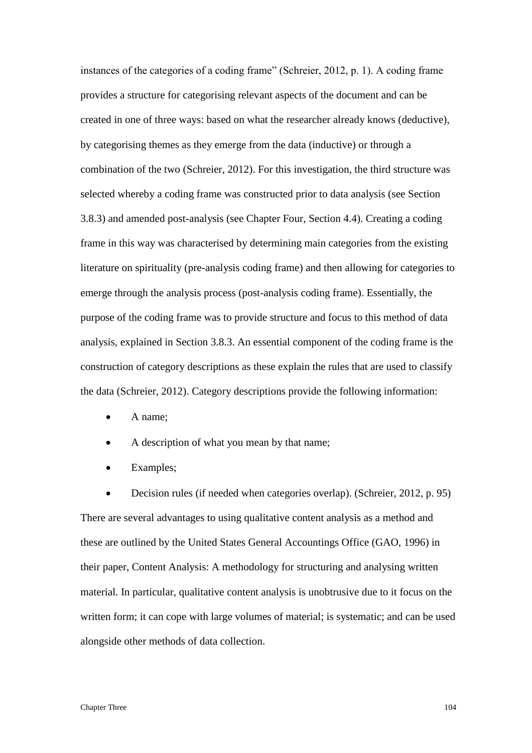instances of the categories of a coding frame" (Schreier, 2012, p. 1). A coding frame provides a structure for categorising relevant aspects of the document and can be created in one of three ways: based on what the researcher already knows (deductive), by categorising themes as they emerge from the data (inductive) or through a combination of the two (Schreier, 2012). For this investigation, the third structure was selected whereby a coding frame was constructed prior to data analysis (see Section 3.8.3) and amended post-analysis (see Chapter Four, Section 4.4). Creating a coding frame in this way was characterised by determining main categories from the existing literature on spirituality (pre-analysis coding frame) and then allowing for categories to emerge through the analysis process (post-analysis coding frame). Essentially, the purpose of the coding frame was to provide structure and focus to this method of data analysis, explained in Section 3.8.3. An essential component of the coding frame is the construction of category descriptions as these explain the rules that are used to classify the data (Schreier, 2012). Category descriptions provide the following information:

- A name:
- A description of what you mean by that name;
- Examples;

 Decision rules (if needed when categories overlap). (Schreier, 2012, p. 95) There are several advantages to using qualitative content analysis as a method and these are outlined by the United States General Accountings Office (GAO, 1996) in their paper, Content Analysis: A methodology for structuring and analysing written material. In particular, qualitative content analysis is unobtrusive due to it focus on the written form; it can cope with large volumes of material; is systematic; and can be used alongside other methods of data collection.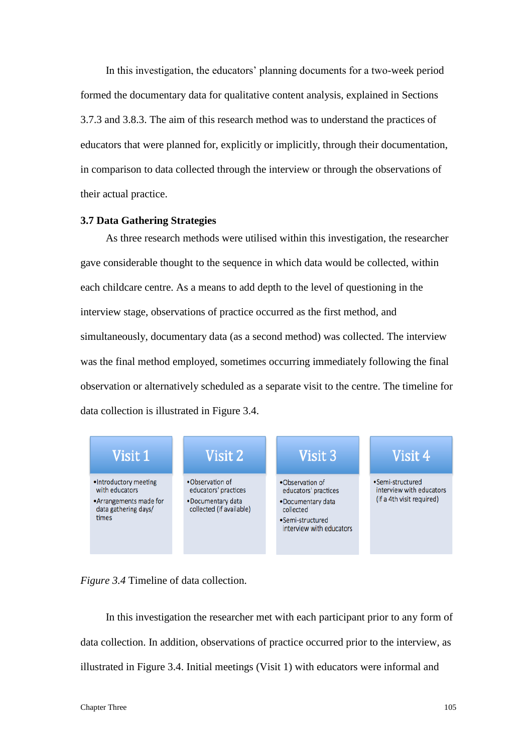In this investigation, the educators' planning documents for a two-week period formed the documentary data for qualitative content analysis, explained in Sections 3.7.3 and 3.8.3. The aim of this research method was to understand the practices of educators that were planned for, explicitly or implicitly, through their documentation, in comparison to data collected through the interview or through the observations of their actual practice.

#### **3.7 Data Gathering Strategies**

As three research methods were utilised within this investigation, the researcher gave considerable thought to the sequence in which data would be collected, within each childcare centre. As a means to add depth to the level of questioning in the interview stage, observations of practice occurred as the first method, and simultaneously, documentary data (as a second method) was collected. The interview was the final method employed, sometimes occurring immediately following the final observation or alternatively scheduled as a separate visit to the centre. The timeline for data collection is illustrated in Figure 3.4.



*Figure 3.4* Timeline of data collection.

In this investigation the researcher met with each participant prior to any form of data collection. In addition, observations of practice occurred prior to the interview, as illustrated in Figure 3.4. Initial meetings (Visit 1) with educators were informal and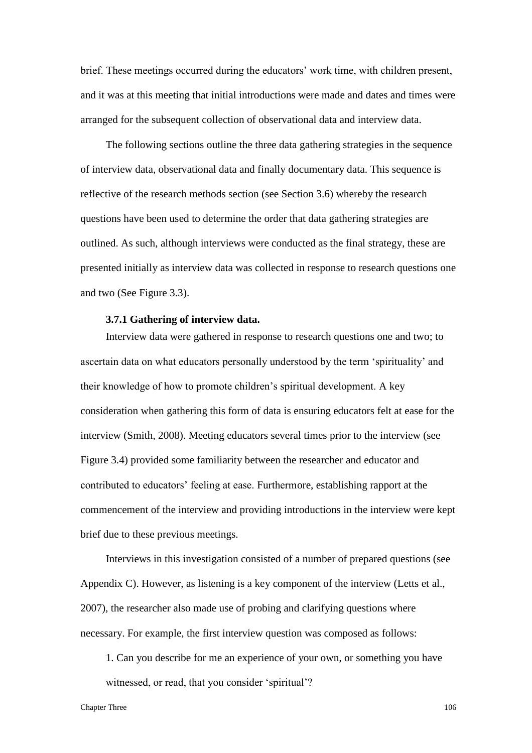brief. These meetings occurred during the educators' work time, with children present, and it was at this meeting that initial introductions were made and dates and times were arranged for the subsequent collection of observational data and interview data.

The following sections outline the three data gathering strategies in the sequence of interview data, observational data and finally documentary data. This sequence is reflective of the research methods section (see Section 3.6) whereby the research questions have been used to determine the order that data gathering strategies are outlined. As such, although interviews were conducted as the final strategy, these are presented initially as interview data was collected in response to research questions one and two (See Figure 3.3).

#### **3.7.1 Gathering of interview data.**

Interview data were gathered in response to research questions one and two; to ascertain data on what educators personally understood by the term 'spirituality' and their knowledge of how to promote children's spiritual development. A key consideration when gathering this form of data is ensuring educators felt at ease for the interview (Smith, 2008). Meeting educators several times prior to the interview (see Figure 3.4) provided some familiarity between the researcher and educator and contributed to educators' feeling at ease. Furthermore, establishing rapport at the commencement of the interview and providing introductions in the interview were kept brief due to these previous meetings.

Interviews in this investigation consisted of a number of prepared questions (see Appendix C). However, as listening is a key component of the interview (Letts et al., 2007), the researcher also made use of probing and clarifying questions where necessary. For example, the first interview question was composed as follows:

1. Can you describe for me an experience of your own, or something you have witnessed, or read, that you consider 'spiritual'?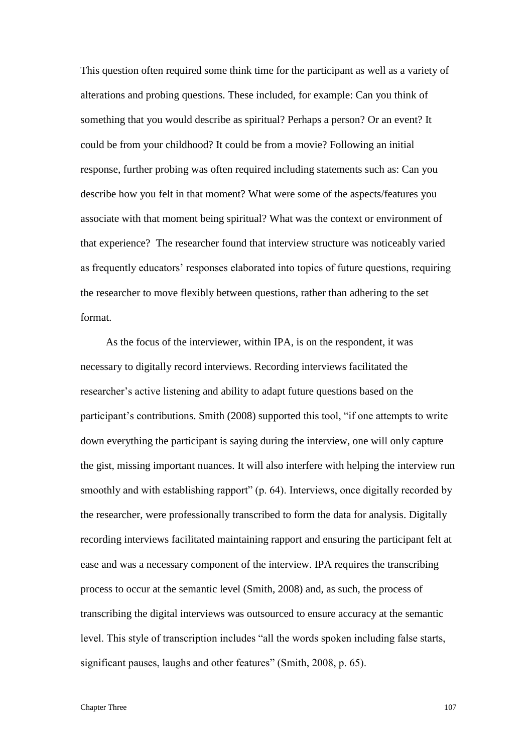This question often required some think time for the participant as well as a variety of alterations and probing questions. These included, for example: Can you think of something that you would describe as spiritual? Perhaps a person? Or an event? It could be from your childhood? It could be from a movie? Following an initial response, further probing was often required including statements such as: Can you describe how you felt in that moment? What were some of the aspects/features you associate with that moment being spiritual? What was the context or environment of that experience?The researcher found that interview structure was noticeably varied as frequently educators' responses elaborated into topics of future questions, requiring the researcher to move flexibly between questions, rather than adhering to the set format.

As the focus of the interviewer, within IPA, is on the respondent, it was necessary to digitally record interviews. Recording interviews facilitated the researcher's active listening and ability to adapt future questions based on the participant's contributions. Smith (2008) supported this tool, "if one attempts to write down everything the participant is saying during the interview, one will only capture the gist, missing important nuances. It will also interfere with helping the interview run smoothly and with establishing rapport" (p. 64). Interviews, once digitally recorded by the researcher, were professionally transcribed to form the data for analysis. Digitally recording interviews facilitated maintaining rapport and ensuring the participant felt at ease and was a necessary component of the interview. IPA requires the transcribing process to occur at the semantic level (Smith, 2008) and, as such, the process of transcribing the digital interviews was outsourced to ensure accuracy at the semantic level. This style of transcription includes "all the words spoken including false starts, significant pauses, laughs and other features" (Smith, 2008, p. 65).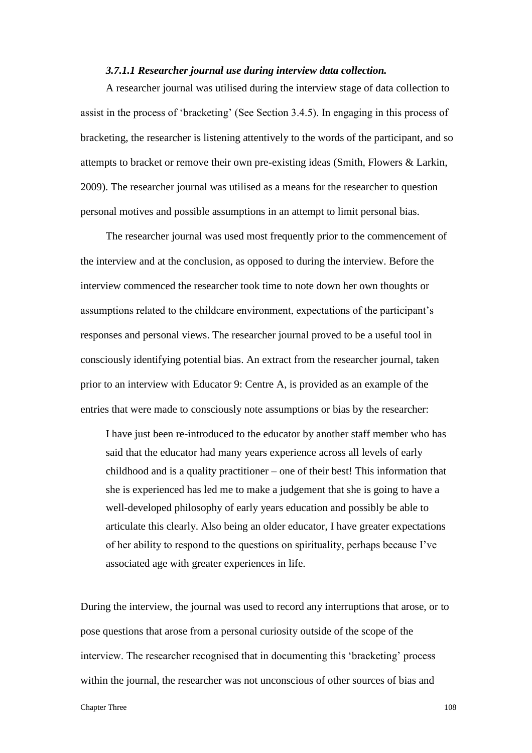#### *3.7.1.1 Researcher journal use during interview data collection.*

A researcher journal was utilised during the interview stage of data collection to assist in the process of 'bracketing' (See Section 3.4.5). In engaging in this process of bracketing, the researcher is listening attentively to the words of the participant, and so attempts to bracket or remove their own pre-existing ideas (Smith, Flowers & Larkin, 2009). The researcher journal was utilised as a means for the researcher to question personal motives and possible assumptions in an attempt to limit personal bias.

The researcher journal was used most frequently prior to the commencement of the interview and at the conclusion, as opposed to during the interview. Before the interview commenced the researcher took time to note down her own thoughts or assumptions related to the childcare environment, expectations of the participant's responses and personal views. The researcher journal proved to be a useful tool in consciously identifying potential bias. An extract from the researcher journal, taken prior to an interview with Educator 9: Centre A, is provided as an example of the entries that were made to consciously note assumptions or bias by the researcher:

I have just been re-introduced to the educator by another staff member who has said that the educator had many years experience across all levels of early childhood and is a quality practitioner – one of their best! This information that she is experienced has led me to make a judgement that she is going to have a well-developed philosophy of early years education and possibly be able to articulate this clearly. Also being an older educator, I have greater expectations of her ability to respond to the questions on spirituality, perhaps because I've associated age with greater experiences in life.

During the interview, the journal was used to record any interruptions that arose, or to pose questions that arose from a personal curiosity outside of the scope of the interview. The researcher recognised that in documenting this 'bracketing' process within the journal, the researcher was not unconscious of other sources of bias and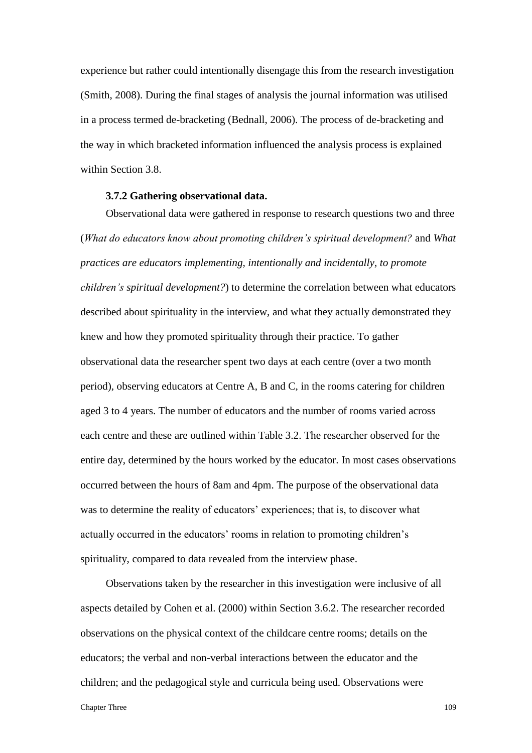experience but rather could intentionally disengage this from the research investigation (Smith, 2008). During the final stages of analysis the journal information was utilised in a process termed de-bracketing (Bednall, 2006). The process of de-bracketing and the way in which bracketed information influenced the analysis process is explained within Section 3.8.

#### **3.7.2 Gathering observational data.**

Observational data were gathered in response to research questions two and three (*What do educators know about promoting children's spiritual development?* and *What practices are educators implementing, intentionally and incidentally, to promote children's spiritual development?*) to determine the correlation between what educators described about spirituality in the interview, and what they actually demonstrated they knew and how they promoted spirituality through their practice. To gather observational data the researcher spent two days at each centre (over a two month period), observing educators at Centre A, B and C, in the rooms catering for children aged 3 to 4 years. The number of educators and the number of rooms varied across each centre and these are outlined within Table 3.2. The researcher observed for the entire day, determined by the hours worked by the educator. In most cases observations occurred between the hours of 8am and 4pm. The purpose of the observational data was to determine the reality of educators' experiences; that is, to discover what actually occurred in the educators' rooms in relation to promoting children's spirituality, compared to data revealed from the interview phase.

Chapter Three 109 Observations taken by the researcher in this investigation were inclusive of all aspects detailed by Cohen et al. (2000) within Section 3.6.2. The researcher recorded observations on the physical context of the childcare centre rooms; details on the educators; the verbal and non-verbal interactions between the educator and the children; and the pedagogical style and curricula being used. Observations were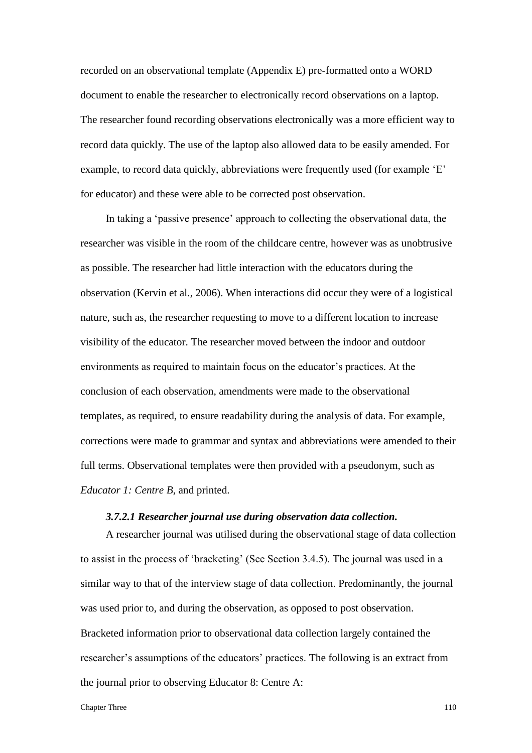recorded on an observational template (Appendix E) pre-formatted onto a WORD document to enable the researcher to electronically record observations on a laptop. The researcher found recording observations electronically was a more efficient way to record data quickly. The use of the laptop also allowed data to be easily amended. For example, to record data quickly, abbreviations were frequently used (for example 'E' for educator) and these were able to be corrected post observation.

In taking a 'passive presence' approach to collecting the observational data, the researcher was visible in the room of the childcare centre, however was as unobtrusive as possible. The researcher had little interaction with the educators during the observation (Kervin et al., 2006). When interactions did occur they were of a logistical nature, such as, the researcher requesting to move to a different location to increase visibility of the educator. The researcher moved between the indoor and outdoor environments as required to maintain focus on the educator's practices. At the conclusion of each observation, amendments were made to the observational templates, as required, to ensure readability during the analysis of data. For example, corrections were made to grammar and syntax and abbreviations were amended to their full terms. Observational templates were then provided with a pseudonym, such as *Educator 1: Centre B*, and printed.

# *3.7.2.1 Researcher journal use during observation data collection.*

A researcher journal was utilised during the observational stage of data collection to assist in the process of 'bracketing' (See Section 3.4.5). The journal was used in a similar way to that of the interview stage of data collection. Predominantly, the journal was used prior to, and during the observation, as opposed to post observation. Bracketed information prior to observational data collection largely contained the researcher's assumptions of the educators' practices. The following is an extract from the journal prior to observing Educator 8: Centre A: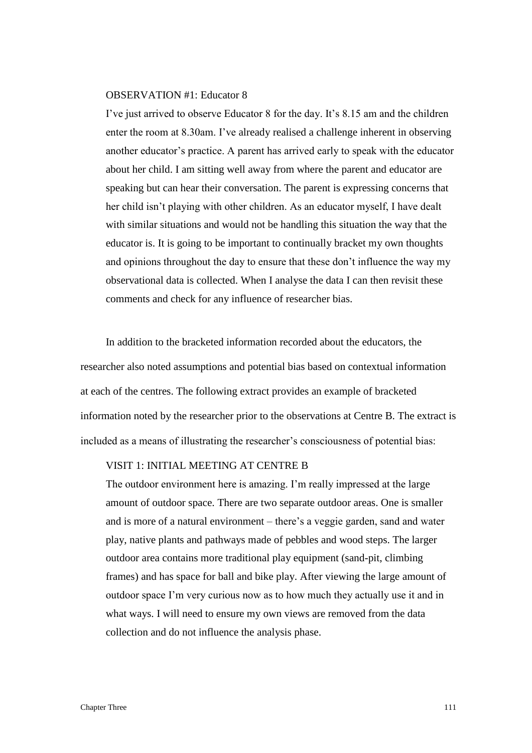## OBSERVATION #1: Educator 8

I've just arrived to observe Educator 8 for the day. It's 8.15 am and the children enter the room at 8.30am. I've already realised a challenge inherent in observing another educator's practice. A parent has arrived early to speak with the educator about her child. I am sitting well away from where the parent and educator are speaking but can hear their conversation. The parent is expressing concerns that her child isn't playing with other children. As an educator myself, I have dealt with similar situations and would not be handling this situation the way that the educator is. It is going to be important to continually bracket my own thoughts and opinions throughout the day to ensure that these don't influence the way my observational data is collected. When I analyse the data I can then revisit these comments and check for any influence of researcher bias.

In addition to the bracketed information recorded about the educators, the researcher also noted assumptions and potential bias based on contextual information at each of the centres. The following extract provides an example of bracketed information noted by the researcher prior to the observations at Centre B. The extract is included as a means of illustrating the researcher's consciousness of potential bias:

# VISIT 1: INITIAL MEETING AT CENTRE B

The outdoor environment here is amazing. I'm really impressed at the large amount of outdoor space. There are two separate outdoor areas. One is smaller and is more of a natural environment – there's a veggie garden, sand and water play, native plants and pathways made of pebbles and wood steps. The larger outdoor area contains more traditional play equipment (sand-pit, climbing frames) and has space for ball and bike play. After viewing the large amount of outdoor space I'm very curious now as to how much they actually use it and in what ways. I will need to ensure my own views are removed from the data collection and do not influence the analysis phase.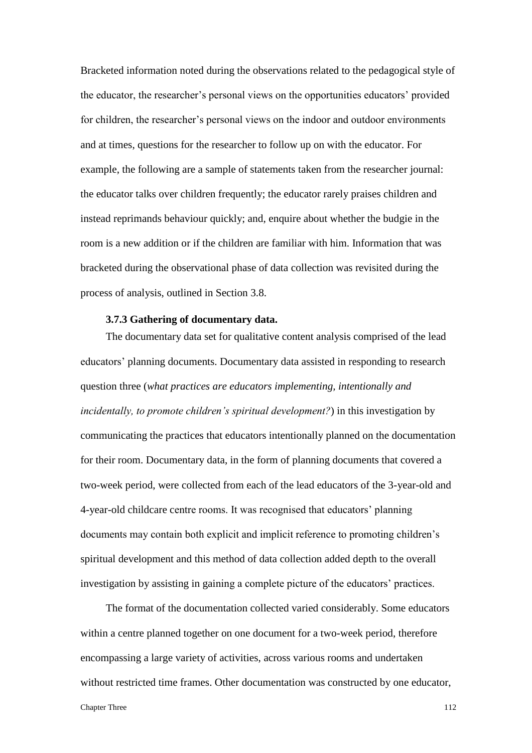Bracketed information noted during the observations related to the pedagogical style of the educator, the researcher's personal views on the opportunities educators' provided for children, the researcher's personal views on the indoor and outdoor environments and at times, questions for the researcher to follow up on with the educator. For example, the following are a sample of statements taken from the researcher journal: the educator talks over children frequently; the educator rarely praises children and instead reprimands behaviour quickly; and, enquire about whether the budgie in the room is a new addition or if the children are familiar with him. Information that was bracketed during the observational phase of data collection was revisited during the process of analysis, outlined in Section 3.8.

# **3.7.3 Gathering of documentary data.**

The documentary data set for qualitative content analysis comprised of the lead educators' planning documents. Documentary data assisted in responding to research question three (*what practices are educators implementing, intentionally and incidentally, to promote children's spiritual development?*) in this investigation by communicating the practices that educators intentionally planned on the documentation for their room. Documentary data, in the form of planning documents that covered a two-week period, were collected from each of the lead educators of the 3-year-old and 4-year-old childcare centre rooms. It was recognised that educators' planning documents may contain both explicit and implicit reference to promoting children's spiritual development and this method of data collection added depth to the overall investigation by assisting in gaining a complete picture of the educators' practices.

The format of the documentation collected varied considerably. Some educators within a centre planned together on one document for a two-week period, therefore encompassing a large variety of activities, across various rooms and undertaken without restricted time frames. Other documentation was constructed by one educator,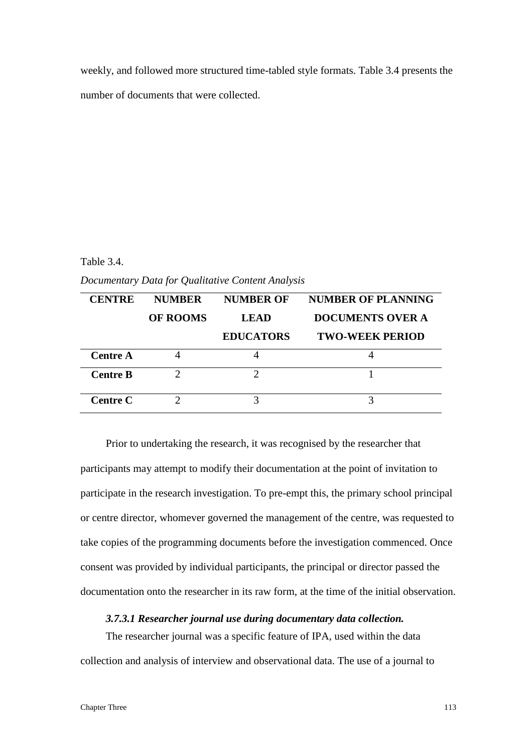weekly, and followed more structured time-tabled style formats. Table 3.4 presents the number of documents that were collected.

## Table 3.4.

*Documentary Data for Qualitative Content Analysis* 

| <b>CENTRE</b>   | <b>NUMBER</b>   | <b>NUMBER OF</b> | <b>NUMBER OF PLANNING</b> |
|-----------------|-----------------|------------------|---------------------------|
|                 | <b>OF ROOMS</b> | LEAD             | <b>DOCUMENTS OVER A</b>   |
|                 |                 | <b>EDUCATORS</b> | <b>TWO-WEEK PERIOD</b>    |
| <b>Centre A</b> |                 |                  |                           |
| <b>Centre B</b> |                 |                  |                           |
| Centre C        |                 | 3                |                           |

Prior to undertaking the research, it was recognised by the researcher that participants may attempt to modify their documentation at the point of invitation to participate in the research investigation. To pre-empt this, the primary school principal or centre director, whomever governed the management of the centre, was requested to take copies of the programming documents before the investigation commenced. Once consent was provided by individual participants, the principal or director passed the documentation onto the researcher in its raw form, at the time of the initial observation.

# *3.7.3.1 Researcher journal use during documentary data collection.*

The researcher journal was a specific feature of IPA, used within the data collection and analysis of interview and observational data. The use of a journal to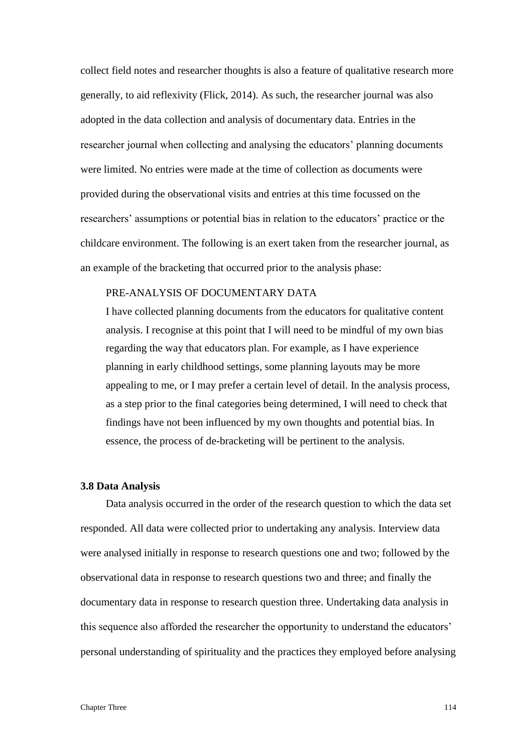collect field notes and researcher thoughts is also a feature of qualitative research more generally, to aid reflexivity (Flick, 2014). As such, the researcher journal was also adopted in the data collection and analysis of documentary data. Entries in the researcher journal when collecting and analysing the educators' planning documents were limited. No entries were made at the time of collection as documents were provided during the observational visits and entries at this time focussed on the researchers' assumptions or potential bias in relation to the educators' practice or the childcare environment. The following is an exert taken from the researcher journal, as an example of the bracketing that occurred prior to the analysis phase:

# PRE-ANALYSIS OF DOCUMENTARY DATA

I have collected planning documents from the educators for qualitative content analysis. I recognise at this point that I will need to be mindful of my own bias regarding the way that educators plan. For example, as I have experience planning in early childhood settings, some planning layouts may be more appealing to me, or I may prefer a certain level of detail. In the analysis process, as a step prior to the final categories being determined, I will need to check that findings have not been influenced by my own thoughts and potential bias. In essence, the process of de-bracketing will be pertinent to the analysis.

## **3.8 Data Analysis**

Data analysis occurred in the order of the research question to which the data set responded. All data were collected prior to undertaking any analysis. Interview data were analysed initially in response to research questions one and two; followed by the observational data in response to research questions two and three; and finally the documentary data in response to research question three. Undertaking data analysis in this sequence also afforded the researcher the opportunity to understand the educators' personal understanding of spirituality and the practices they employed before analysing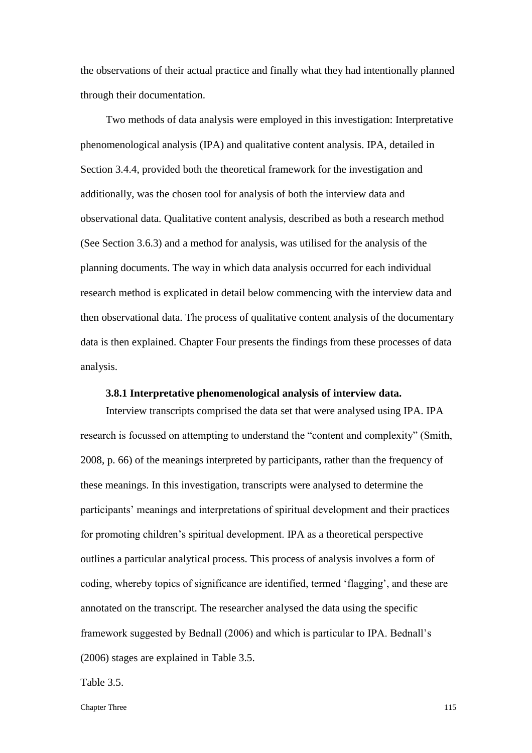the observations of their actual practice and finally what they had intentionally planned through their documentation.

Two methods of data analysis were employed in this investigation: Interpretative phenomenological analysis (IPA) and qualitative content analysis. IPA, detailed in Section 3.4.4, provided both the theoretical framework for the investigation and additionally, was the chosen tool for analysis of both the interview data and observational data. Qualitative content analysis, described as both a research method (See Section 3.6.3) and a method for analysis, was utilised for the analysis of the planning documents. The way in which data analysis occurred for each individual research method is explicated in detail below commencing with the interview data and then observational data. The process of qualitative content analysis of the documentary data is then explained. Chapter Four presents the findings from these processes of data analysis.

## **3.8.1 Interpretative phenomenological analysis of interview data.**

Interview transcripts comprised the data set that were analysed using IPA. IPA research is focussed on attempting to understand the "content and complexity" (Smith, 2008, p. 66) of the meanings interpreted by participants, rather than the frequency of these meanings. In this investigation, transcripts were analysed to determine the participants' meanings and interpretations of spiritual development and their practices for promoting children's spiritual development. IPA as a theoretical perspective outlines a particular analytical process. This process of analysis involves a form of coding, whereby topics of significance are identified, termed 'flagging', and these are annotated on the transcript. The researcher analysed the data using the specific framework suggested by Bednall (2006) and which is particular to IPA. Bednall's (2006) stages are explained in Table 3.5.

## Table 3.5.

Chapter Three 115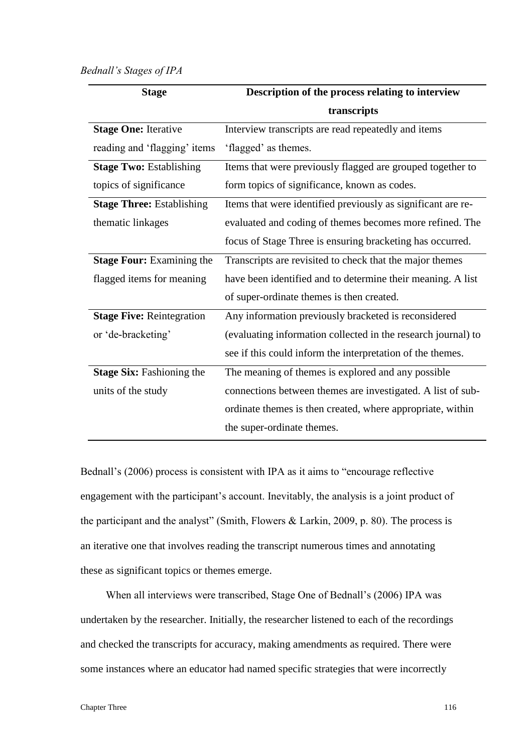## *Bednall's Stages of IPA*

| <b>Stage</b>                     | Description of the process relating to interview              |
|----------------------------------|---------------------------------------------------------------|
|                                  | transcripts                                                   |
| <b>Stage One: Iterative</b>      | Interview transcripts are read repeatedly and items           |
| reading and 'flagging' items     | 'flagged' as themes.                                          |
| <b>Stage Two: Establishing</b>   | Items that were previously flagged are grouped together to    |
| topics of significance           | form topics of significance, known as codes.                  |
| <b>Stage Three: Establishing</b> | Items that were identified previously as significant are re-  |
| thematic linkages                | evaluated and coding of themes becomes more refined. The      |
|                                  | focus of Stage Three is ensuring bracketing has occurred.     |
| <b>Stage Four: Examining the</b> | Transcripts are revisited to check that the major themes      |
| flagged items for meaning        | have been identified and to determine their meaning. A list   |
|                                  | of super-ordinate themes is then created.                     |
| <b>Stage Five: Reintegration</b> | Any information previously bracketed is reconsidered          |
| or 'de-bracketing'               | (evaluating information collected in the research journal) to |
|                                  | see if this could inform the interpretation of the themes.    |
| <b>Stage Six: Fashioning the</b> | The meaning of themes is explored and any possible            |
| units of the study               | connections between themes are investigated. A list of sub-   |
|                                  | ordinate themes is then created, where appropriate, within    |
|                                  | the super-ordinate themes.                                    |

Bednall's (2006) process is consistent with IPA as it aims to "encourage reflective engagement with the participant's account. Inevitably, the analysis is a joint product of the participant and the analyst" (Smith, Flowers & Larkin, 2009, p. 80). The process is an iterative one that involves reading the transcript numerous times and annotating these as significant topics or themes emerge.

When all interviews were transcribed, Stage One of Bednall's (2006) IPA was undertaken by the researcher. Initially, the researcher listened to each of the recordings and checked the transcripts for accuracy, making amendments as required. There were some instances where an educator had named specific strategies that were incorrectly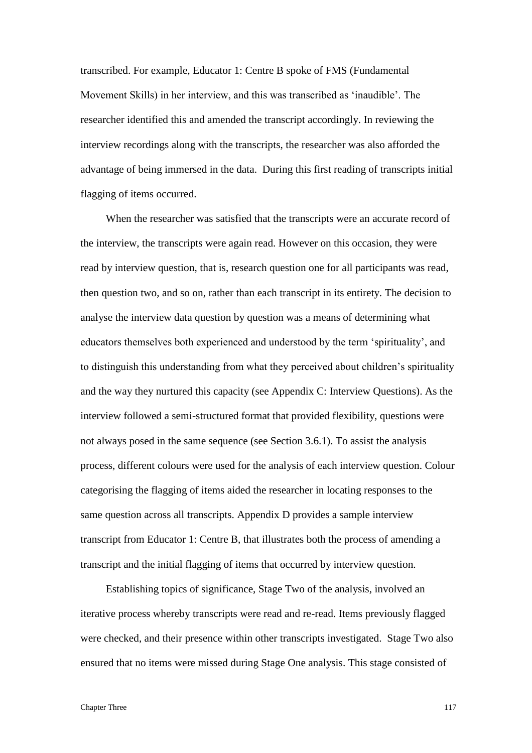transcribed. For example, Educator 1: Centre B spoke of FMS (Fundamental Movement Skills) in her interview, and this was transcribed as 'inaudible'. The researcher identified this and amended the transcript accordingly. In reviewing the interview recordings along with the transcripts, the researcher was also afforded the advantage of being immersed in the data. During this first reading of transcripts initial flagging of items occurred.

When the researcher was satisfied that the transcripts were an accurate record of the interview, the transcripts were again read. However on this occasion, they were read by interview question, that is, research question one for all participants was read, then question two, and so on, rather than each transcript in its entirety. The decision to analyse the interview data question by question was a means of determining what educators themselves both experienced and understood by the term 'spirituality', and to distinguish this understanding from what they perceived about children's spirituality and the way they nurtured this capacity (see Appendix C: Interview Questions). As the interview followed a semi-structured format that provided flexibility, questions were not always posed in the same sequence (see Section 3.6.1). To assist the analysis process, different colours were used for the analysis of each interview question. Colour categorising the flagging of items aided the researcher in locating responses to the same question across all transcripts. Appendix D provides a sample interview transcript from Educator 1: Centre B, that illustrates both the process of amending a transcript and the initial flagging of items that occurred by interview question.

Establishing topics of significance, Stage Two of the analysis, involved an iterative process whereby transcripts were read and re-read. Items previously flagged were checked, and their presence within other transcripts investigated. Stage Two also ensured that no items were missed during Stage One analysis. This stage consisted of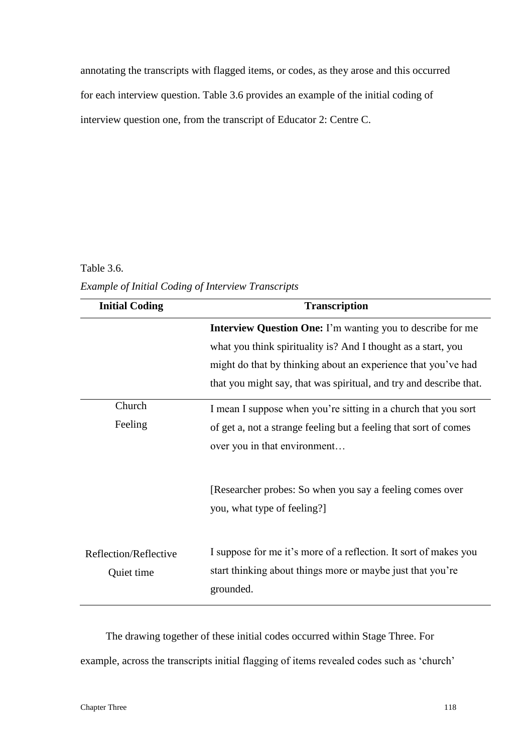annotating the transcripts with flagged items, or codes, as they arose and this occurred for each interview question. Table 3.6 provides an example of the initial coding of interview question one, from the transcript of Educator 2: Centre C.

# Table 3.6.

*Example of Initial Coding of Interview Transcripts*

| <b>Initial Coding</b>               | <b>Transcription</b>                                                                                                                        |
|-------------------------------------|---------------------------------------------------------------------------------------------------------------------------------------------|
|                                     | <b>Interview Question One:</b> I'm wanting you to describe for me                                                                           |
|                                     | what you think spirituality is? And I thought as a start, you                                                                               |
|                                     | might do that by thinking about an experience that you've had                                                                               |
|                                     | that you might say, that was spiritual, and try and describe that.                                                                          |
| Church                              | I mean I suppose when you're sitting in a church that you sort                                                                              |
| Feeling                             | of get a, not a strange feeling but a feeling that sort of comes                                                                            |
|                                     | over you in that environment                                                                                                                |
|                                     | [Researcher probes: So when you say a feeling comes over<br>you, what type of feeling?]                                                     |
| Reflection/Reflective<br>Quiet time | I suppose for me it's more of a reflection. It sort of makes you<br>start thinking about things more or maybe just that you're<br>grounded. |

The drawing together of these initial codes occurred within Stage Three. For example, across the transcripts initial flagging of items revealed codes such as 'church'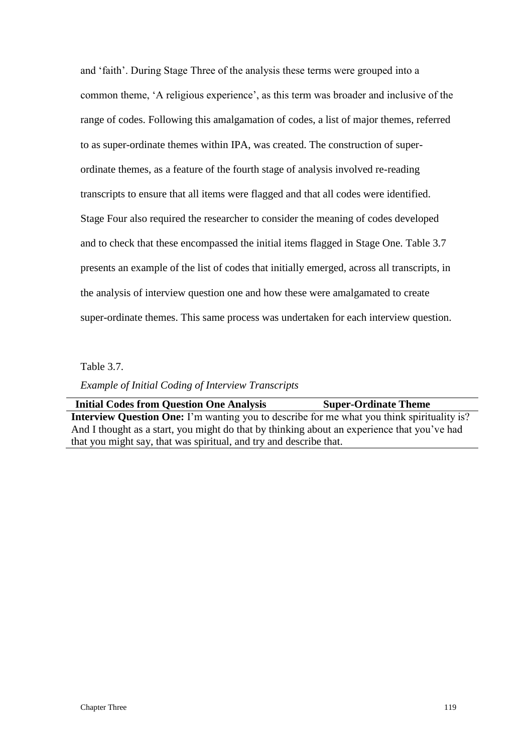and 'faith'. During Stage Three of the analysis these terms were grouped into a common theme, 'A religious experience', as this term was broader and inclusive of the range of codes. Following this amalgamation of codes, a list of major themes, referred to as super-ordinate themes within IPA, was created. The construction of superordinate themes, as a feature of the fourth stage of analysis involved re-reading transcripts to ensure that all items were flagged and that all codes were identified. Stage Four also required the researcher to consider the meaning of codes developed and to check that these encompassed the initial items flagged in Stage One. Table 3.7 presents an example of the list of codes that initially emerged, across all transcripts, in the analysis of interview question one and how these were amalgamated to create super-ordinate themes. This same process was undertaken for each interview question.

Table 3.7.

*Example of Initial Coding of Interview Transcripts*

**Initial Codes from Question One Analysis Super-Ordinate Theme Interview Question One:** I'm wanting you to describe for me what you think spirituality is? And I thought as a start, you might do that by thinking about an experience that you've had that you might say, that was spiritual, and try and describe that.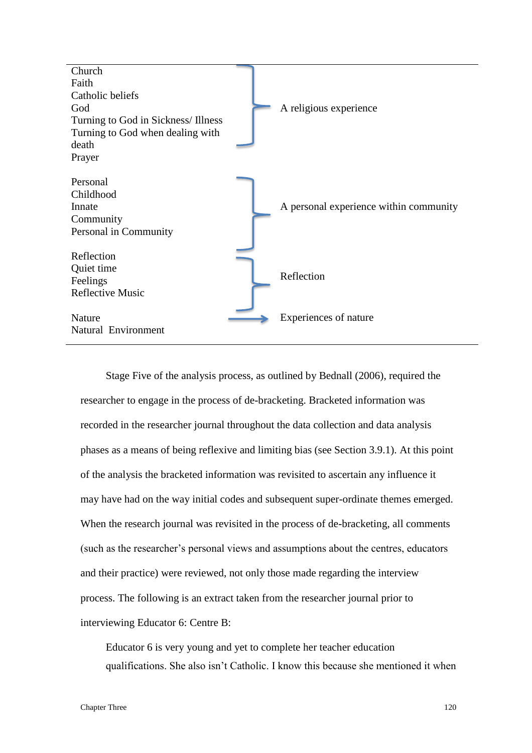

Stage Five of the analysis process, as outlined by Bednall (2006), required the researcher to engage in the process of de-bracketing. Bracketed information was recorded in the researcher journal throughout the data collection and data analysis phases as a means of being reflexive and limiting bias (see Section 3.9.1). At this point of the analysis the bracketed information was revisited to ascertain any influence it may have had on the way initial codes and subsequent super-ordinate themes emerged. When the research journal was revisited in the process of de-bracketing, all comments (such as the researcher's personal views and assumptions about the centres, educators and their practice) were reviewed, not only those made regarding the interview process. The following is an extract taken from the researcher journal prior to interviewing Educator 6: Centre B:

Educator 6 is very young and yet to complete her teacher education qualifications. She also isn't Catholic. I know this because she mentioned it when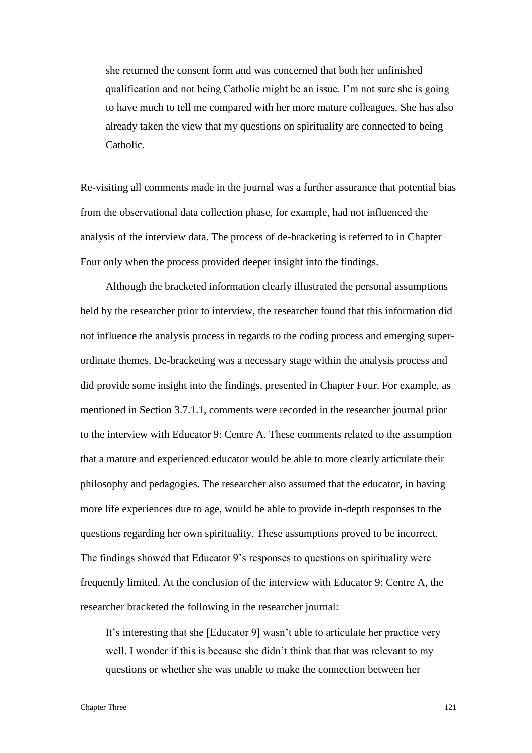she returned the consent form and was concerned that both her unfinished qualification and not being Catholic might be an issue. I'm not sure she is going to have much to tell me compared with her more mature colleagues. She has also already taken the view that my questions on spirituality are connected to being Catholic.

Re-visiting all comments made in the journal was a further assurance that potential bias from the observational data collection phase, for example, had not influenced the analysis of the interview data. The process of de-bracketing is referred to in Chapter Four only when the process provided deeper insight into the findings.

Although the bracketed information clearly illustrated the personal assumptions held by the researcher prior to interview, the researcher found that this information did not influence the analysis process in regards to the coding process and emerging superordinate themes. De-bracketing was a necessary stage within the analysis process and did provide some insight into the findings, presented in Chapter Four. For example, as mentioned in Section 3.7.1.1, comments were recorded in the researcher journal prior to the interview with Educator 9: Centre A. These comments related to the assumption that a mature and experienced educator would be able to more clearly articulate their philosophy and pedagogies. The researcher also assumed that the educator, in having more life experiences due to age, would be able to provide in-depth responses to the questions regarding her own spirituality. These assumptions proved to be incorrect. The findings showed that Educator 9's responses to questions on spirituality were frequently limited. At the conclusion of the interview with Educator 9: Centre A, the researcher bracketed the following in the researcher journal:

It's interesting that she [Educator 9] wasn't able to articulate her practice very well. I wonder if this is because she didn't think that that was relevant to my questions or whether she was unable to make the connection between her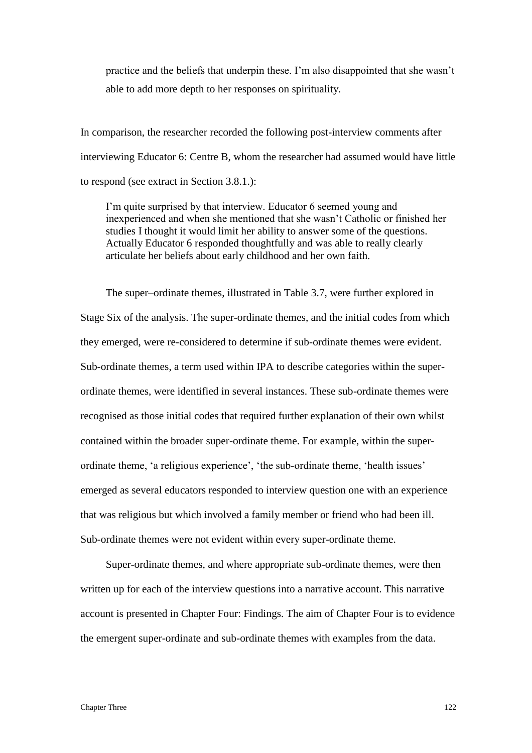practice and the beliefs that underpin these. I'm also disappointed that she wasn't able to add more depth to her responses on spirituality.

In comparison, the researcher recorded the following post-interview comments after interviewing Educator 6: Centre B, whom the researcher had assumed would have little to respond (see extract in Section 3.8.1.):

I'm quite surprised by that interview. Educator 6 seemed young and inexperienced and when she mentioned that she wasn't Catholic or finished her studies I thought it would limit her ability to answer some of the questions. Actually Educator 6 responded thoughtfully and was able to really clearly articulate her beliefs about early childhood and her own faith.

The super–ordinate themes, illustrated in Table 3.7, were further explored in Stage Six of the analysis. The super-ordinate themes, and the initial codes from which they emerged, were re-considered to determine if sub-ordinate themes were evident. Sub-ordinate themes, a term used within IPA to describe categories within the superordinate themes, were identified in several instances. These sub-ordinate themes were recognised as those initial codes that required further explanation of their own whilst contained within the broader super-ordinate theme. For example, within the superordinate theme, 'a religious experience', 'the sub-ordinate theme, 'health issues' emerged as several educators responded to interview question one with an experience that was religious but which involved a family member or friend who had been ill. Sub-ordinate themes were not evident within every super-ordinate theme.

Super-ordinate themes, and where appropriate sub-ordinate themes, were then written up for each of the interview questions into a narrative account. This narrative account is presented in Chapter Four: Findings. The aim of Chapter Four is to evidence the emergent super-ordinate and sub-ordinate themes with examples from the data.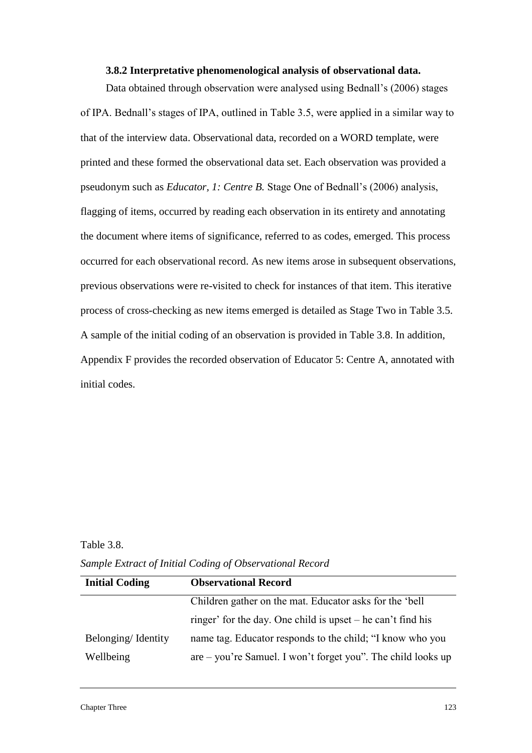#### **3.8.2 Interpretative phenomenological analysis of observational data.**

Data obtained through observation were analysed using Bednall's (2006) stages of IPA. Bednall's stages of IPA, outlined in Table 3.5, were applied in a similar way to that of the interview data. Observational data, recorded on a WORD template, were printed and these formed the observational data set. Each observation was provided a pseudonym such as *Educator, 1: Centre B.* Stage One of Bednall's (2006) analysis, flagging of items, occurred by reading each observation in its entirety and annotating the document where items of significance, referred to as codes, emerged. This process occurred for each observational record. As new items arose in subsequent observations, previous observations were re-visited to check for instances of that item. This iterative process of cross-checking as new items emerged is detailed as Stage Two in Table 3.5. A sample of the initial coding of an observation is provided in Table 3.8. In addition, Appendix F provides the recorded observation of Educator 5: Centre A, annotated with initial codes.

## Table 3.8.

*Sample Extract of Initial Coding of Observational Record*

| <b>Initial Coding</b> | <b>Observational Record</b>                                    |  |
|-----------------------|----------------------------------------------------------------|--|
|                       | Children gather on the mat. Educator asks for the 'bell        |  |
|                       | ringer' for the day. One child is upset $-$ he can't find his  |  |
| Belonging/Identity    | name tag. Educator responds to the child; "I know who you      |  |
| Wellbeing             | $are - you're Samuel. I won't forget you".$ The child looks up |  |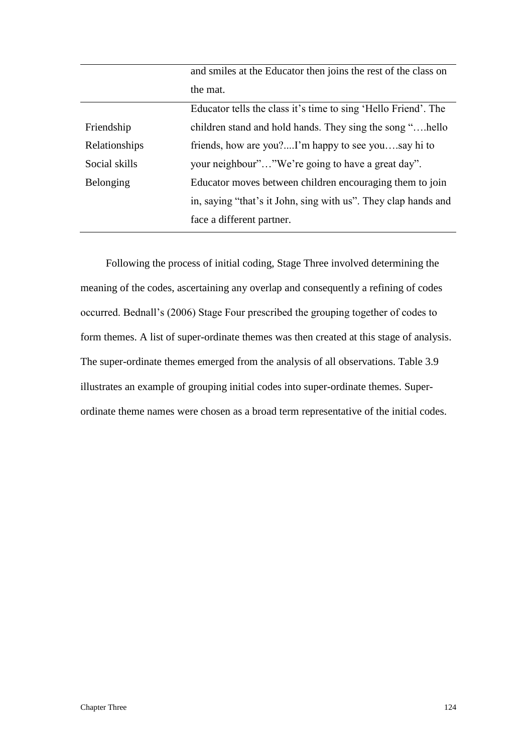|               | and smiles at the Educator then joins the rest of the class on |  |
|---------------|----------------------------------------------------------------|--|
|               | the mat.                                                       |  |
|               | Educator tells the class it's time to sing 'Hello Friend'. The |  |
| Friendship    | children stand and hold hands. They sing the song "hello       |  |
| Relationships | friends, how are you?I'm happy to see yousay hi to             |  |
| Social skills | your neighbour""We're going to have a great day".              |  |
| Belonging     | Educator moves between children encouraging them to join       |  |
|               | in, saying "that's it John, sing with us". They clap hands and |  |
|               | face a different partner.                                      |  |
|               |                                                                |  |

Following the process of initial coding, Stage Three involved determining the meaning of the codes, ascertaining any overlap and consequently a refining of codes occurred. Bednall's (2006) Stage Four prescribed the grouping together of codes to form themes. A list of super-ordinate themes was then created at this stage of analysis. The super-ordinate themes emerged from the analysis of all observations. Table 3.9 illustrates an example of grouping initial codes into super-ordinate themes. Superordinate theme names were chosen as a broad term representative of the initial codes.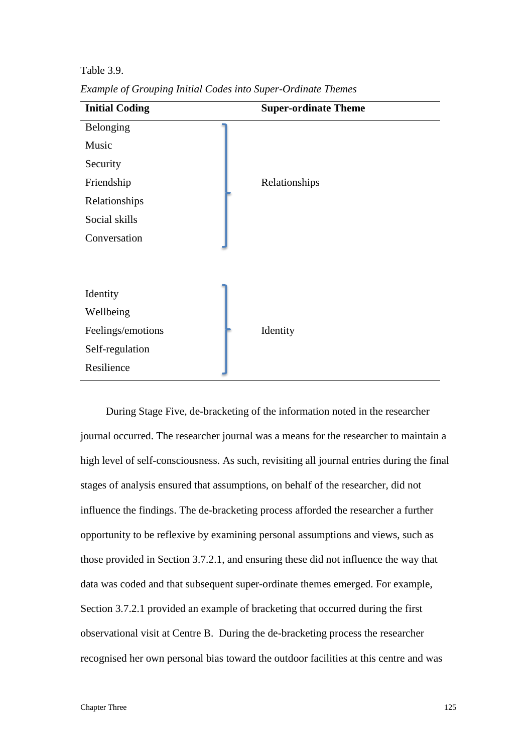Table 3.9.

| <b>Initial Coding</b> | <b>Super-ordinate Theme</b> |
|-----------------------|-----------------------------|
| Belonging             |                             |
| Music                 |                             |
| Security              |                             |
| Friendship            | Relationships               |
| Relationships         |                             |
| Social skills         |                             |
| Conversation          |                             |
|                       |                             |
| Identity              |                             |
| Wellbeing             |                             |
| Feelings/emotions     | Identity                    |
| Self-regulation       |                             |
| Resilience            |                             |

*Example of Grouping Initial Codes into Super-Ordinate Themes*

During Stage Five, de-bracketing of the information noted in the researcher journal occurred. The researcher journal was a means for the researcher to maintain a high level of self-consciousness. As such, revisiting all journal entries during the final stages of analysis ensured that assumptions, on behalf of the researcher, did not influence the findings. The de-bracketing process afforded the researcher a further opportunity to be reflexive by examining personal assumptions and views, such as those provided in Section 3.7.2.1, and ensuring these did not influence the way that data was coded and that subsequent super-ordinate themes emerged. For example, Section 3.7.2.1 provided an example of bracketing that occurred during the first observational visit at Centre B. During the de-bracketing process the researcher recognised her own personal bias toward the outdoor facilities at this centre and was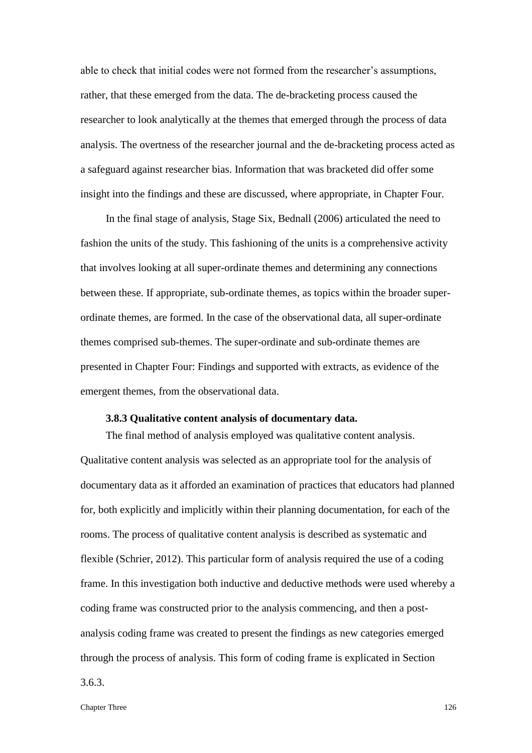able to check that initial codes were not formed from the researcher's assumptions, rather, that these emerged from the data. The de-bracketing process caused the researcher to look analytically at the themes that emerged through the process of data analysis. The overtness of the researcher journal and the de-bracketing process acted as a safeguard against researcher bias. Information that was bracketed did offer some insight into the findings and these are discussed, where appropriate, in Chapter Four.

In the final stage of analysis, Stage Six, Bednall (2006) articulated the need to fashion the units of the study. This fashioning of the units is a comprehensive activity that involves looking at all super-ordinate themes and determining any connections between these. If appropriate, sub-ordinate themes, as topics within the broader superordinate themes, are formed. In the case of the observational data, all super-ordinate themes comprised sub-themes. The super-ordinate and sub-ordinate themes are presented in Chapter Four: Findings and supported with extracts, as evidence of the emergent themes, from the observational data.

## **3.8.3 Qualitative content analysis of documentary data.**

The final method of analysis employed was qualitative content analysis. Qualitative content analysis was selected as an appropriate tool for the analysis of documentary data as it afforded an examination of practices that educators had planned for, both explicitly and implicitly within their planning documentation, for each of the rooms. The process of qualitative content analysis is described as systematic and flexible (Schrier, 2012). This particular form of analysis required the use of a coding frame. In this investigation both inductive and deductive methods were used whereby a coding frame was constructed prior to the analysis commencing, and then a postanalysis coding frame was created to present the findings as new categories emerged through the process of analysis. This form of coding frame is explicated in Section 3.6.3.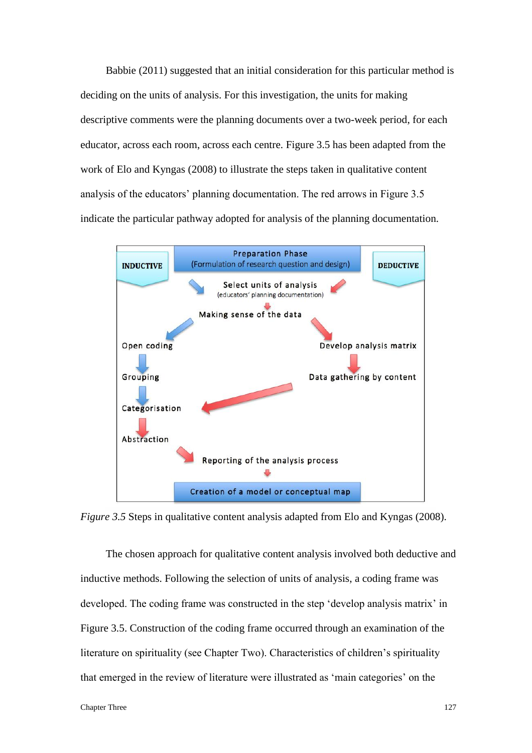Babbie (2011) suggested that an initial consideration for this particular method is deciding on the units of analysis. For this investigation, the units for making descriptive comments were the planning documents over a two-week period, for each educator, across each room, across each centre. Figure 3.5 has been adapted from the work of Elo and Kyngas (2008) to illustrate the steps taken in qualitative content analysis of the educators' planning documentation. The red arrows in Figure 3.5 indicate the particular pathway adopted for analysis of the planning documentation.



*Figure 3.5* Steps in qualitative content analysis adapted from Elo and Kyngas (2008).

The chosen approach for qualitative content analysis involved both deductive and inductive methods. Following the selection of units of analysis, a coding frame was developed. The coding frame was constructed in the step 'develop analysis matrix' in Figure 3.5. Construction of the coding frame occurred through an examination of the literature on spirituality (see Chapter Two). Characteristics of children's spirituality that emerged in the review of literature were illustrated as 'main categories' on the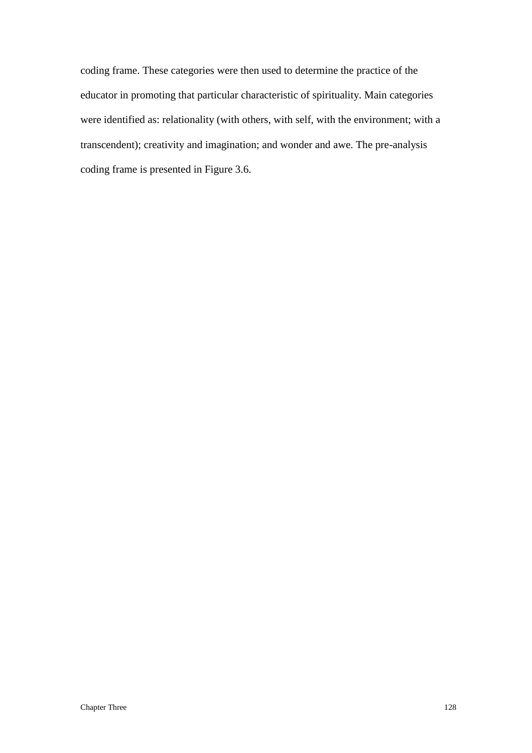coding frame. These categories were then used to determine the practice of the educator in promoting that particular characteristic of spirituality. Main categories were identified as: relationality (with others, with self, with the environment; with a transcendent); creativity and imagination; and wonder and awe. The pre-analysis coding frame is presented in Figure 3.6.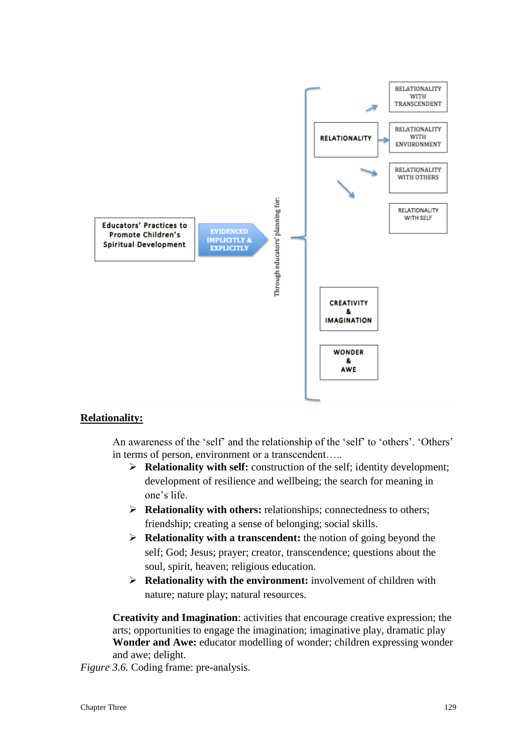

# **Relationality:**

An awareness of the 'self' and the relationship of the 'self' to 'others'. 'Others' in terms of person, environment or a transcendent…..

- **Relationality with self:** construction of the self; identity development; development of resilience and wellbeing; the search for meaning in one's life.
- **Relationality with others:** relationships; connectedness to others; friendship; creating a sense of belonging; social skills.
- **Relationality with a transcendent:** the notion of going beyond the self; God; Jesus; prayer; creator, transcendence; questions about the soul, spirit, heaven; religious education.
- **Relationality with the environment:** involvement of children with nature; nature play; natural resources.

**Creativity and Imagination**: activities that encourage creative expression; the arts; opportunities to engage the imagination; imaginative play, dramatic play **Wonder and Awe:** educator modelling of wonder; children expressing wonder and awe; delight.

*Figure 3.6.* Coding frame: pre-analysis.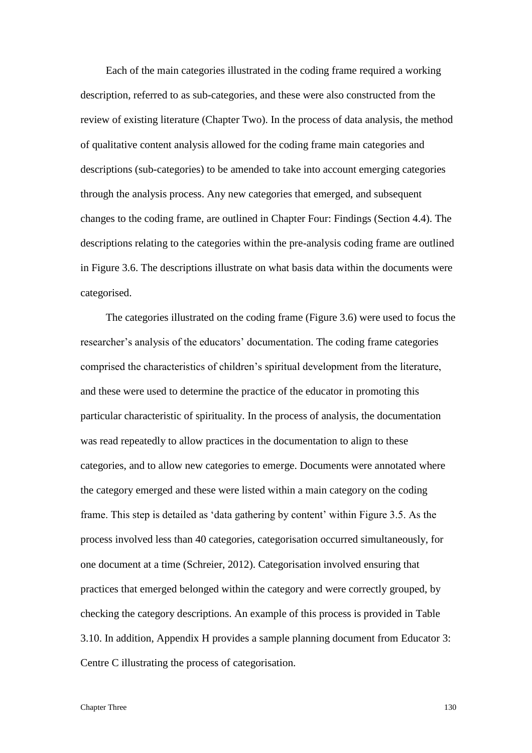Each of the main categories illustrated in the coding frame required a working description, referred to as sub-categories, and these were also constructed from the review of existing literature (Chapter Two). In the process of data analysis, the method of qualitative content analysis allowed for the coding frame main categories and descriptions (sub-categories) to be amended to take into account emerging categories through the analysis process. Any new categories that emerged, and subsequent changes to the coding frame, are outlined in Chapter Four: Findings (Section 4.4). The descriptions relating to the categories within the pre-analysis coding frame are outlined in Figure 3.6. The descriptions illustrate on what basis data within the documents were categorised.

The categories illustrated on the coding frame (Figure 3.6) were used to focus the researcher's analysis of the educators' documentation. The coding frame categories comprised the characteristics of children's spiritual development from the literature, and these were used to determine the practice of the educator in promoting this particular characteristic of spirituality. In the process of analysis, the documentation was read repeatedly to allow practices in the documentation to align to these categories, and to allow new categories to emerge. Documents were annotated where the category emerged and these were listed within a main category on the coding frame. This step is detailed as 'data gathering by content' within Figure 3.5. As the process involved less than 40 categories, categorisation occurred simultaneously, for one document at a time (Schreier, 2012). Categorisation involved ensuring that practices that emerged belonged within the category and were correctly grouped, by checking the category descriptions. An example of this process is provided in Table 3.10. In addition, Appendix H provides a sample planning document from Educator 3: Centre C illustrating the process of categorisation.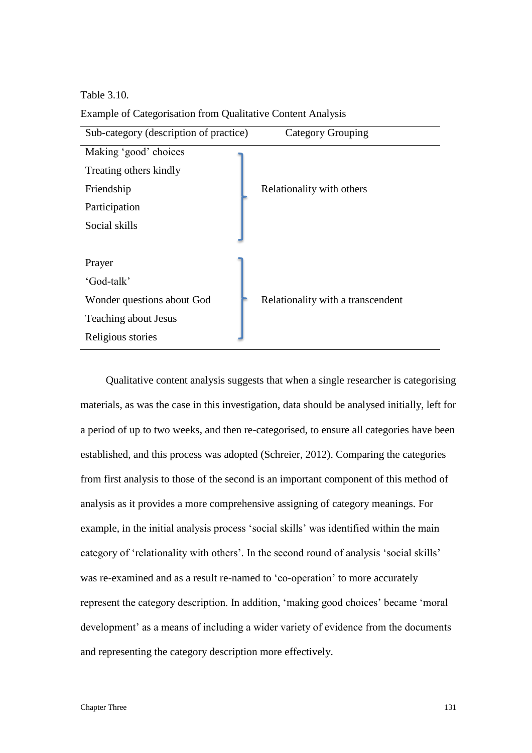Table 3.10.

| Sub-category (description of practice) | <b>Category Grouping</b>          |
|----------------------------------------|-----------------------------------|
| Making 'good' choices                  |                                   |
| Treating others kindly                 |                                   |
| Friendship                             | Relationality with others         |
| Participation                          |                                   |
| Social skills                          |                                   |
|                                        |                                   |
| Prayer                                 |                                   |
| 'God-talk'                             |                                   |
| Wonder questions about God             | Relationality with a transcendent |
| <b>Teaching about Jesus</b>            |                                   |
| Religious stories                      |                                   |

Example of Categorisation from Qualitative Content Analysis

Qualitative content analysis suggests that when a single researcher is categorising materials, as was the case in this investigation, data should be analysed initially, left for a period of up to two weeks, and then re-categorised, to ensure all categories have been established, and this process was adopted (Schreier, 2012). Comparing the categories from first analysis to those of the second is an important component of this method of analysis as it provides a more comprehensive assigning of category meanings. For example, in the initial analysis process 'social skills' was identified within the main category of 'relationality with others'. In the second round of analysis 'social skills' was re-examined and as a result re-named to 'co-operation' to more accurately represent the category description. In addition, 'making good choices' became 'moral development' as a means of including a wider variety of evidence from the documents and representing the category description more effectively.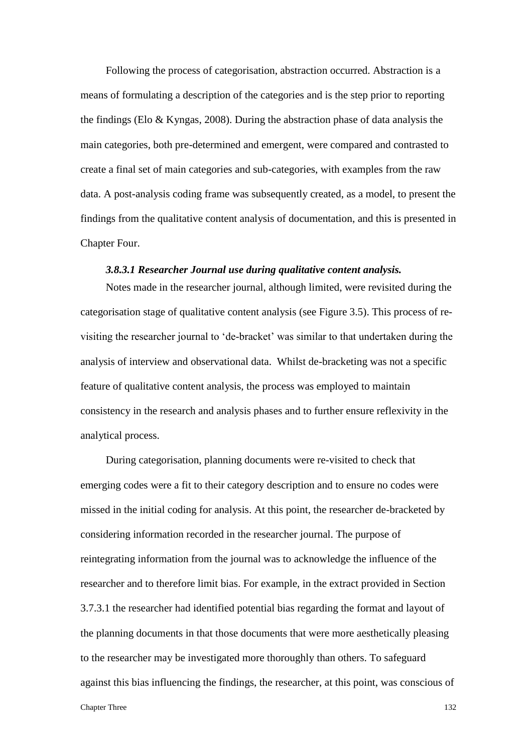Following the process of categorisation, abstraction occurred. Abstraction is a means of formulating a description of the categories and is the step prior to reporting the findings (Elo  $\&$  Kyngas, 2008). During the abstraction phase of data analysis the main categories, both pre-determined and emergent, were compared and contrasted to create a final set of main categories and sub-categories, with examples from the raw data. A post-analysis coding frame was subsequently created, as a model, to present the findings from the qualitative content analysis of documentation, and this is presented in Chapter Four.

# *3.8.3.1 Researcher Journal use during qualitative content analysis.*

Notes made in the researcher journal, although limited, were revisited during the categorisation stage of qualitative content analysis (see Figure 3.5). This process of revisiting the researcher journal to 'de-bracket' was similar to that undertaken during the analysis of interview and observational data. Whilst de-bracketing was not a specific feature of qualitative content analysis, the process was employed to maintain consistency in the research and analysis phases and to further ensure reflexivity in the analytical process.

During categorisation, planning documents were re-visited to check that emerging codes were a fit to their category description and to ensure no codes were missed in the initial coding for analysis. At this point, the researcher de-bracketed by considering information recorded in the researcher journal. The purpose of reintegrating information from the journal was to acknowledge the influence of the researcher and to therefore limit bias. For example, in the extract provided in Section 3.7.3.1 the researcher had identified potential bias regarding the format and layout of the planning documents in that those documents that were more aesthetically pleasing to the researcher may be investigated more thoroughly than others. To safeguard against this bias influencing the findings, the researcher, at this point, was conscious of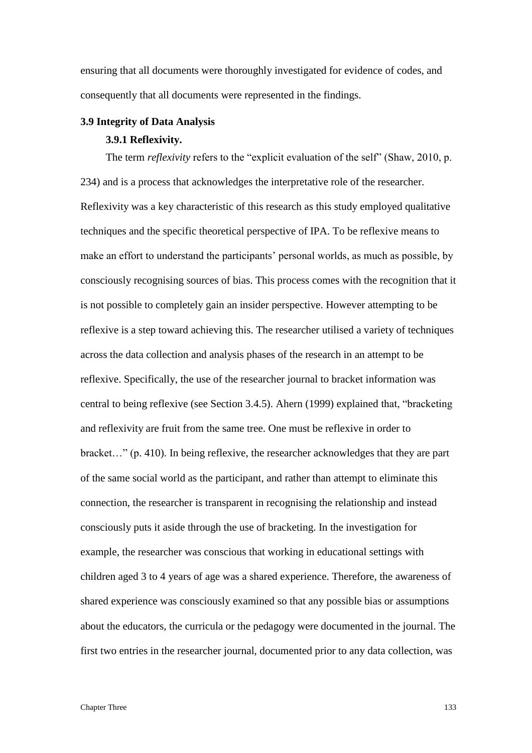ensuring that all documents were thoroughly investigated for evidence of codes, and consequently that all documents were represented in the findings.

#### **3.9 Integrity of Data Analysis**

#### **3.9.1 Reflexivity.**

The term *reflexivity* refers to the "explicit evaluation of the self" (Shaw, 2010, p. 234) and is a process that acknowledges the interpretative role of the researcher. Reflexivity was a key characteristic of this research as this study employed qualitative techniques and the specific theoretical perspective of IPA. To be reflexive means to make an effort to understand the participants' personal worlds, as much as possible, by consciously recognising sources of bias. This process comes with the recognition that it is not possible to completely gain an insider perspective. However attempting to be reflexive is a step toward achieving this. The researcher utilised a variety of techniques across the data collection and analysis phases of the research in an attempt to be reflexive. Specifically, the use of the researcher journal to bracket information was central to being reflexive (see Section 3.4.5). Ahern (1999) explained that, "bracketing and reflexivity are fruit from the same tree. One must be reflexive in order to bracket…" (p. 410). In being reflexive, the researcher acknowledges that they are part of the same social world as the participant, and rather than attempt to eliminate this connection, the researcher is transparent in recognising the relationship and instead consciously puts it aside through the use of bracketing. In the investigation for example, the researcher was conscious that working in educational settings with children aged 3 to 4 years of age was a shared experience. Therefore, the awareness of shared experience was consciously examined so that any possible bias or assumptions about the educators, the curricula or the pedagogy were documented in the journal. The first two entries in the researcher journal, documented prior to any data collection, was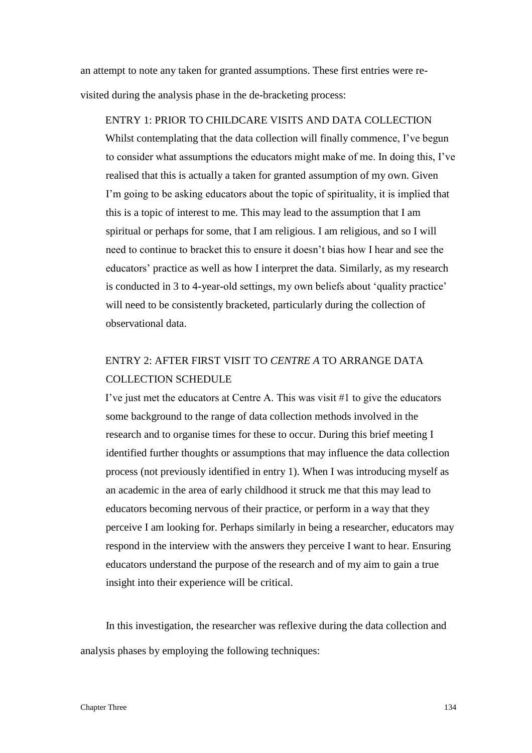an attempt to note any taken for granted assumptions. These first entries were revisited during the analysis phase in the de-bracketing process:

ENTRY 1: PRIOR TO CHILDCARE VISITS AND DATA COLLECTION Whilst contemplating that the data collection will finally commence, I've begun to consider what assumptions the educators might make of me. In doing this, I've realised that this is actually a taken for granted assumption of my own. Given I'm going to be asking educators about the topic of spirituality, it is implied that this is a topic of interest to me. This may lead to the assumption that I am spiritual or perhaps for some, that I am religious. I am religious, and so I will need to continue to bracket this to ensure it doesn't bias how I hear and see the educators' practice as well as how I interpret the data. Similarly, as my research is conducted in 3 to 4-year-old settings, my own beliefs about 'quality practice' will need to be consistently bracketed, particularly during the collection of observational data.

# ENTRY 2: AFTER FIRST VISIT TO *CENTRE A* TO ARRANGE DATA COLLECTION SCHEDULE

I've just met the educators at Centre A. This was visit #1 to give the educators some background to the range of data collection methods involved in the research and to organise times for these to occur. During this brief meeting I identified further thoughts or assumptions that may influence the data collection process (not previously identified in entry 1). When I was introducing myself as an academic in the area of early childhood it struck me that this may lead to educators becoming nervous of their practice, or perform in a way that they perceive I am looking for. Perhaps similarly in being a researcher, educators may respond in the interview with the answers they perceive I want to hear. Ensuring educators understand the purpose of the research and of my aim to gain a true insight into their experience will be critical.

In this investigation, the researcher was reflexive during the data collection and analysis phases by employing the following techniques: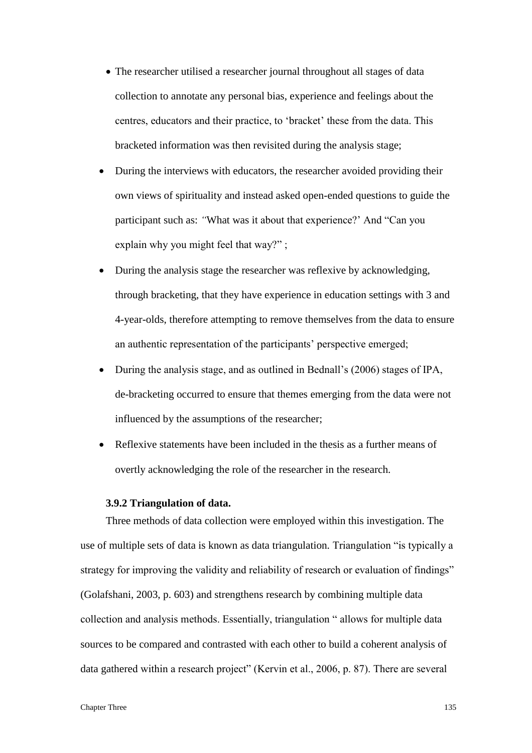- The researcher utilised a researcher journal throughout all stages of data collection to annotate any personal bias, experience and feelings about the centres, educators and their practice, to 'bracket' these from the data. This bracketed information was then revisited during the analysis stage;
- During the interviews with educators, the researcher avoided providing their own views of spirituality and instead asked open-ended questions to guide the participant such as: *"*What was it about that experience?' And "Can you explain why you might feel that way?" ;
- During the analysis stage the researcher was reflexive by acknowledging, through bracketing, that they have experience in education settings with 3 and 4-year-olds, therefore attempting to remove themselves from the data to ensure an authentic representation of the participants' perspective emerged;
- During the analysis stage, and as outlined in Bednall's (2006) stages of IPA, de-bracketing occurred to ensure that themes emerging from the data were not influenced by the assumptions of the researcher;
- Reflexive statements have been included in the thesis as a further means of overtly acknowledging the role of the researcher in the research.

# **3.9.2 Triangulation of data.**

Three methods of data collection were employed within this investigation. The use of multiple sets of data is known as data triangulation*.* Triangulation "is typically a strategy for improving the validity and reliability of research or evaluation of findings" (Golafshani, 2003, p. 603) and strengthens research by combining multiple data collection and analysis methods. Essentially, triangulation " allows for multiple data sources to be compared and contrasted with each other to build a coherent analysis of data gathered within a research project" (Kervin et al., 2006, p. 87). There are several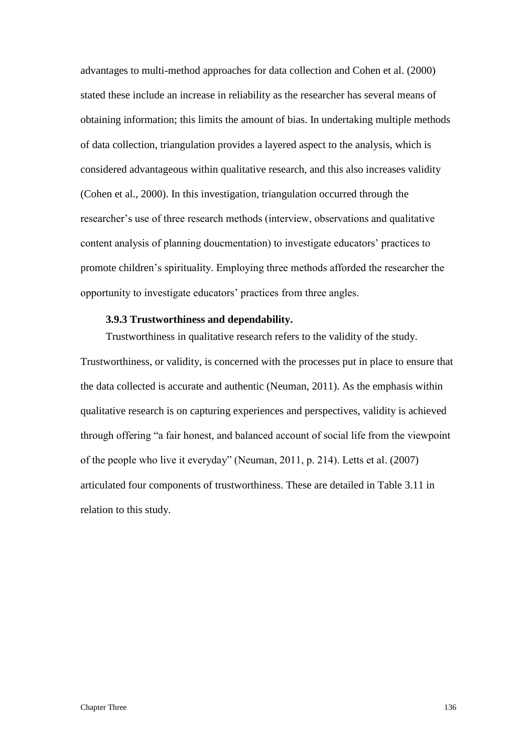advantages to multi-method approaches for data collection and Cohen et al. (2000) stated these include an increase in reliability as the researcher has several means of obtaining information; this limits the amount of bias. In undertaking multiple methods of data collection, triangulation provides a layered aspect to the analysis, which is considered advantageous within qualitative research, and this also increases validity (Cohen et al., 2000). In this investigation, triangulation occurred through the researcher's use of three research methods (interview, observations and qualitative content analysis of planning doucmentation) to investigate educators' practices to promote children's spirituality. Employing three methods afforded the researcher the opportunity to investigate educators' practices from three angles.

# **3.9.3 Trustworthiness and dependability.**

Trustworthiness in qualitative research refers to the validity of the study. Trustworthiness, or validity, is concerned with the processes put in place to ensure that the data collected is accurate and authentic (Neuman, 2011). As the emphasis within qualitative research is on capturing experiences and perspectives, validity is achieved through offering "a fair honest, and balanced account of social life from the viewpoint of the people who live it everyday" (Neuman, 2011, p. 214). Letts et al. (2007) articulated four components of trustworthiness. These are detailed in Table 3.11 in relation to this study.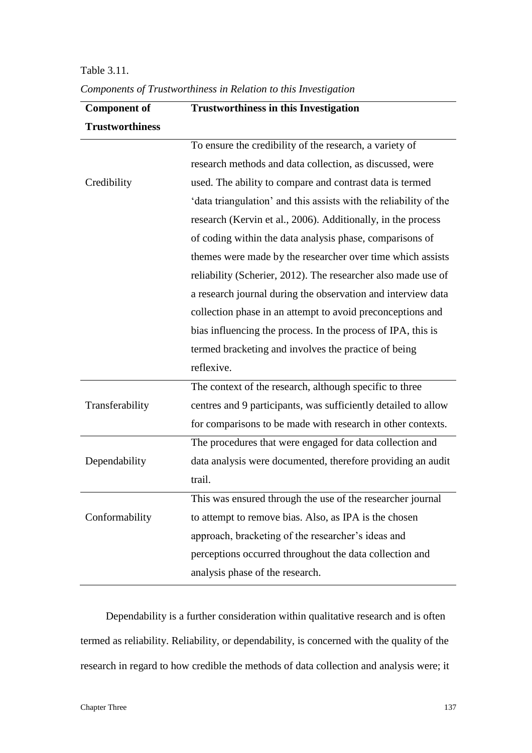| <b>Component of</b>    | <b>Trustworthiness in this Investigation</b>                      |
|------------------------|-------------------------------------------------------------------|
| <b>Trustworthiness</b> |                                                                   |
|                        | To ensure the credibility of the research, a variety of           |
|                        | research methods and data collection, as discussed, were          |
| Credibility            | used. The ability to compare and contrast data is termed          |
|                        | 'data triangulation' and this assists with the reliability of the |
|                        | research (Kervin et al., 2006). Additionally, in the process      |
|                        | of coding within the data analysis phase, comparisons of          |
|                        | themes were made by the researcher over time which assists        |
|                        | reliability (Scherier, 2012). The researcher also made use of     |
|                        | a research journal during the observation and interview data      |
|                        | collection phase in an attempt to avoid preconceptions and        |
|                        | bias influencing the process. In the process of IPA, this is      |
|                        | termed bracketing and involves the practice of being              |
|                        | reflexive.                                                        |
|                        | The context of the research, although specific to three           |
| Transferability        | centres and 9 participants, was sufficiently detailed to allow    |
|                        | for comparisons to be made with research in other contexts.       |
|                        | The procedures that were engaged for data collection and          |
| Dependability          | data analysis were documented, therefore providing an audit       |
|                        | trail.                                                            |
|                        | This was ensured through the use of the researcher journal        |
| Conformability         | to attempt to remove bias. Also, as IPA is the chosen             |
|                        | approach, bracketing of the researcher's ideas and                |
|                        | perceptions occurred throughout the data collection and           |
|                        | analysis phase of the research.                                   |

*Components of Trustworthiness in Relation to this Investigation*

Table 3.11.

Dependability is a further consideration within qualitative research and is often termed as reliability. Reliability, or dependability, is concerned with the quality of the research in regard to how credible the methods of data collection and analysis were; it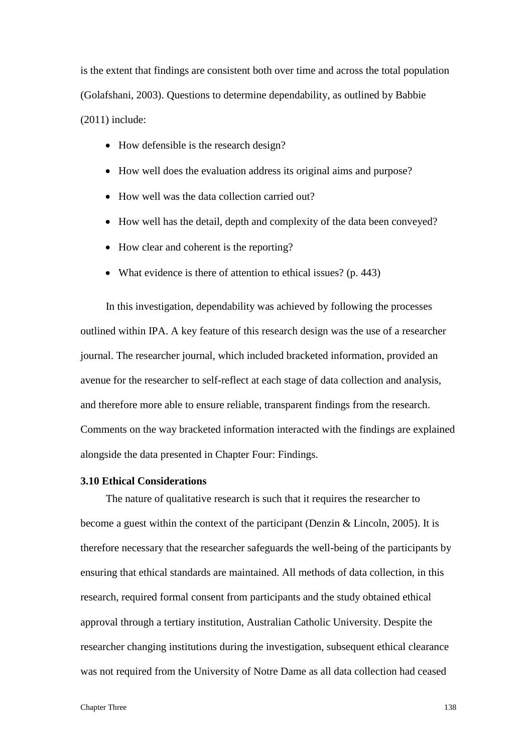is the extent that findings are consistent both over time and across the total population (Golafshani, 2003). Questions to determine dependability, as outlined by Babbie (2011) include:

- How defensible is the research design?
- How well does the evaluation address its original aims and purpose?
- How well was the data collection carried out?
- How well has the detail, depth and complexity of the data been conveyed?
- How clear and coherent is the reporting?
- What evidence is there of attention to ethical issues? (p. 443)

In this investigation, dependability was achieved by following the processes outlined within IPA. A key feature of this research design was the use of a researcher journal. The researcher journal, which included bracketed information, provided an avenue for the researcher to self-reflect at each stage of data collection and analysis, and therefore more able to ensure reliable, transparent findings from the research. Comments on the way bracketed information interacted with the findings are explained alongside the data presented in Chapter Four: Findings.

#### **3.10 Ethical Considerations**

The nature of qualitative research is such that it requires the researcher to become a guest within the context of the participant (Denzin & Lincoln, 2005). It is therefore necessary that the researcher safeguards the well-being of the participants by ensuring that ethical standards are maintained. All methods of data collection, in this research, required formal consent from participants and the study obtained ethical approval through a tertiary institution, Australian Catholic University. Despite the researcher changing institutions during the investigation, subsequent ethical clearance was not required from the University of Notre Dame as all data collection had ceased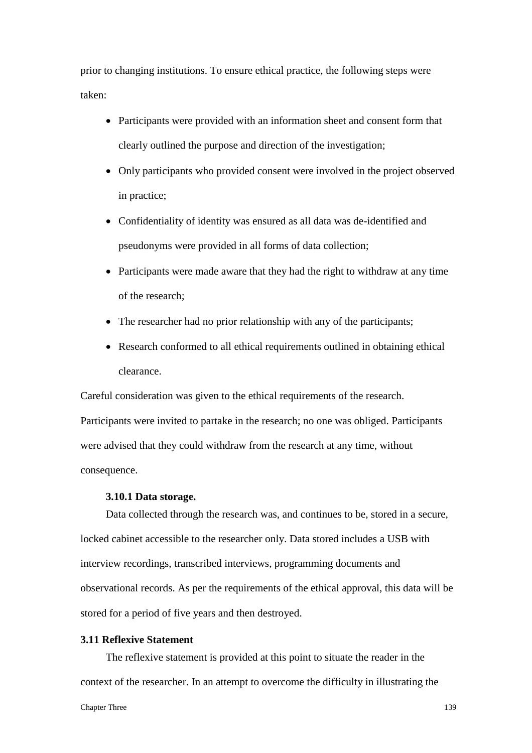prior to changing institutions. To ensure ethical practice, the following steps were taken:

- Participants were provided with an information sheet and consent form that clearly outlined the purpose and direction of the investigation;
- Only participants who provided consent were involved in the project observed in practice;
- Confidentiality of identity was ensured as all data was de-identified and pseudonyms were provided in all forms of data collection;
- Participants were made aware that they had the right to withdraw at any time of the research;
- The researcher had no prior relationship with any of the participants;
- Research conformed to all ethical requirements outlined in obtaining ethical clearance.

Careful consideration was given to the ethical requirements of the research. Participants were invited to partake in the research; no one was obliged. Participants were advised that they could withdraw from the research at any time, without consequence.

# **3.10.1 Data storage.**

Data collected through the research was, and continues to be, stored in a secure, locked cabinet accessible to the researcher only. Data stored includes a USB with interview recordings, transcribed interviews, programming documents and observational records. As per the requirements of the ethical approval, this data will be stored for a period of five years and then destroyed.

## **3.11 Reflexive Statement**

The reflexive statement is provided at this point to situate the reader in the context of the researcher. In an attempt to overcome the difficulty in illustrating the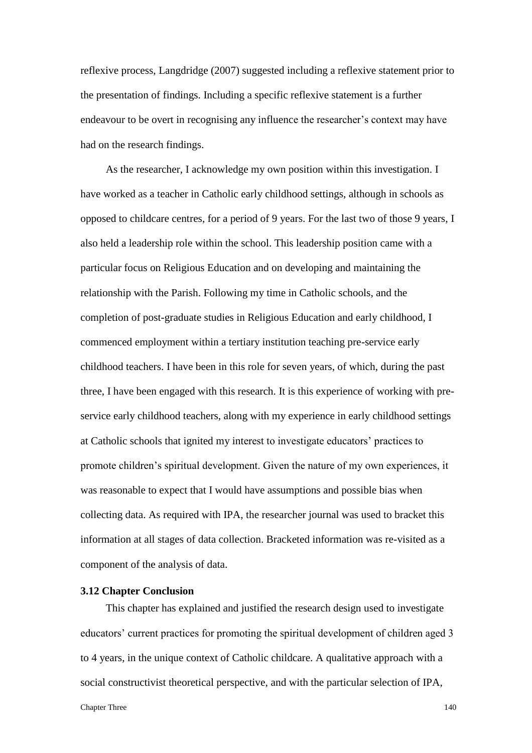reflexive process, Langdridge (2007) suggested including a reflexive statement prior to the presentation of findings. Including a specific reflexive statement is a further endeavour to be overt in recognising any influence the researcher's context may have had on the research findings.

As the researcher, I acknowledge my own position within this investigation. I have worked as a teacher in Catholic early childhood settings, although in schools as opposed to childcare centres, for a period of 9 years. For the last two of those 9 years, I also held a leadership role within the school. This leadership position came with a particular focus on Religious Education and on developing and maintaining the relationship with the Parish. Following my time in Catholic schools, and the completion of post-graduate studies in Religious Education and early childhood, I commenced employment within a tertiary institution teaching pre-service early childhood teachers. I have been in this role for seven years, of which, during the past three, I have been engaged with this research. It is this experience of working with preservice early childhood teachers, along with my experience in early childhood settings at Catholic schools that ignited my interest to investigate educators' practices to promote children's spiritual development. Given the nature of my own experiences, it was reasonable to expect that I would have assumptions and possible bias when collecting data. As required with IPA, the researcher journal was used to bracket this information at all stages of data collection. Bracketed information was re-visited as a component of the analysis of data.

#### **3.12 Chapter Conclusion**

This chapter has explained and justified the research design used to investigate educators' current practices for promoting the spiritual development of children aged 3 to 4 years, in the unique context of Catholic childcare. A qualitative approach with a social constructivist theoretical perspective, and with the particular selection of IPA,